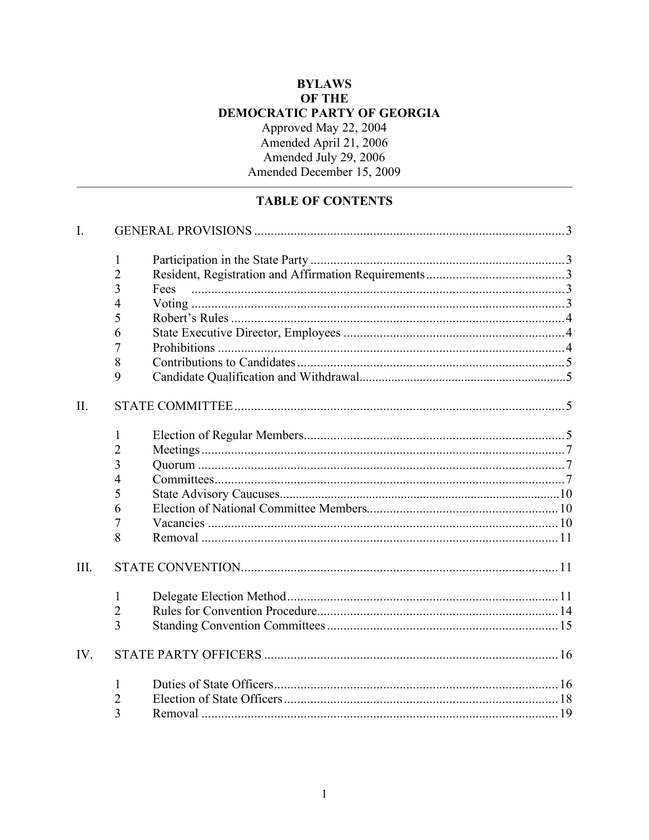# **BYLAWS** OF THE DEMOCRATIC PARTY OF GEORGIA Approved May 22, 2004 Amended April 21, 2006<br>Amended July 29, 2006<br>Amended December 15, 2009

# **TABLE OF CONTENTS**

| $\overline{I}$ . |                |      |  |  |
|------------------|----------------|------|--|--|
|                  | 1              |      |  |  |
|                  | $\overline{2}$ |      |  |  |
|                  | 3              | Fees |  |  |
|                  | $\overline{4}$ |      |  |  |
|                  | 5              |      |  |  |
|                  | 6              |      |  |  |
|                  | 7              |      |  |  |
|                  | 8              |      |  |  |
|                  | 9              |      |  |  |
| II.              |                |      |  |  |
|                  | 1              |      |  |  |
|                  | $\overline{2}$ |      |  |  |
|                  | 3              |      |  |  |
|                  | $\overline{4}$ |      |  |  |
|                  | 5              |      |  |  |
|                  | 6              |      |  |  |
|                  | 7              |      |  |  |
|                  | 8              |      |  |  |
| III.             |                |      |  |  |
|                  | 1              |      |  |  |
|                  | $\overline{2}$ |      |  |  |
|                  | 3              |      |  |  |
| IV.              |                |      |  |  |
|                  | 1              |      |  |  |
|                  | 2              |      |  |  |
|                  | 3              |      |  |  |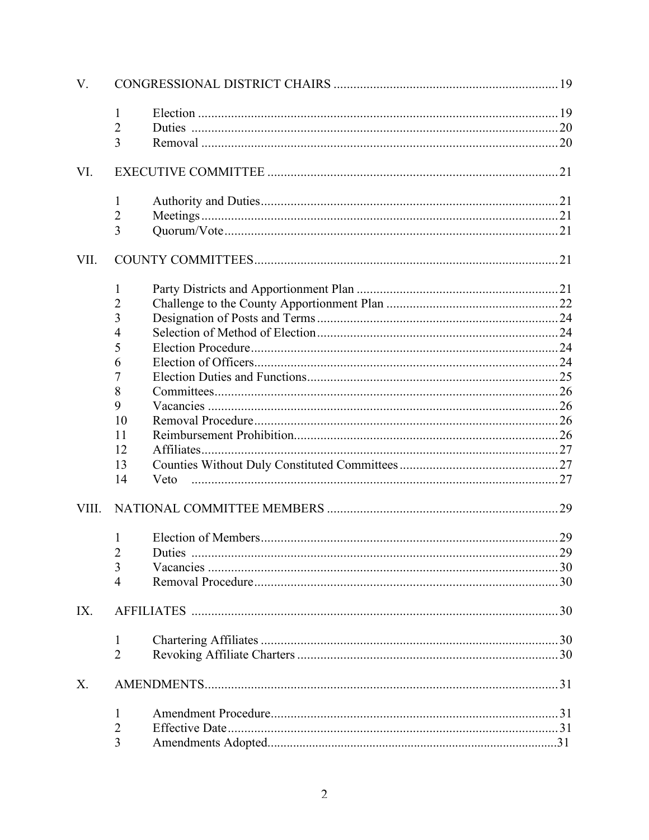| V.    |                |      |  |  |
|-------|----------------|------|--|--|
|       | 1              |      |  |  |
|       | 2              |      |  |  |
|       | 3              |      |  |  |
| VI.   |                |      |  |  |
|       | $\mathbf{1}$   |      |  |  |
|       | $\overline{c}$ |      |  |  |
|       | 3              |      |  |  |
| VII.  |                |      |  |  |
|       | 1              |      |  |  |
|       | $\overline{c}$ |      |  |  |
|       | 3              |      |  |  |
|       | 4              |      |  |  |
|       | 5              |      |  |  |
|       | 6              |      |  |  |
|       | 7              |      |  |  |
|       | 8              |      |  |  |
|       | 9              |      |  |  |
|       | 10             |      |  |  |
|       | 11             |      |  |  |
|       | 12             |      |  |  |
|       | 13             |      |  |  |
|       | 14             | Veto |  |  |
| VIII. |                |      |  |  |
|       | $\mathbf{1}$   |      |  |  |
|       | $\overline{c}$ |      |  |  |
|       | 3              |      |  |  |
|       | $\overline{4}$ |      |  |  |
| IX.   |                |      |  |  |
|       | 1              |      |  |  |
|       | $\overline{2}$ |      |  |  |
| X.    |                |      |  |  |
|       | 1              |      |  |  |
|       | 2              |      |  |  |
|       | 3              |      |  |  |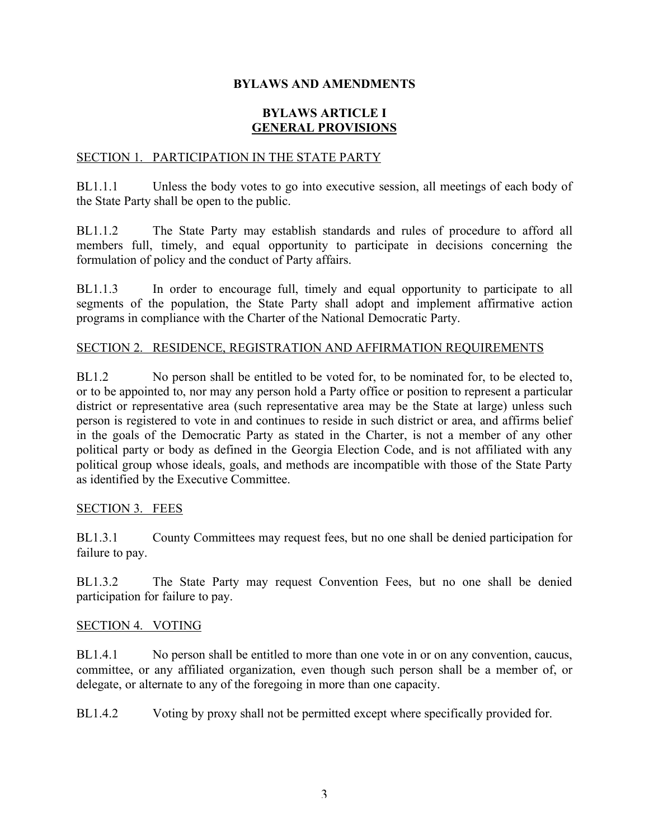#### **BYLAWS AND AMENDMENTS**

#### **BYLAWS ARTICLE I GENERAL PROVISIONS**

#### SECTION 1. PARTICIPATION IN THE STATE PARTY

BL1.1.1 Unless the body votes to go into executive session, all meetings of each body of the State Party shall be open to the public.

BL1.1.2 The State Party may establish standards and rules of procedure to afford all members full, timely, and equal opportunity to participate in decisions concerning the formulation of policy and the conduct of Party affairs.

BL1.1.3 In order to encourage full, timely and equal opportunity to participate to all segments of the population, the State Party shall adopt and implement affirmative action programs in compliance with the Charter of the National Democratic Party.

#### SECTION 2. RESIDENCE, REGISTRATION AND AFFIRMATION REQUIREMENTS

BL1.2 No person shall be entitled to be voted for, to be nominated for, to be elected to, or to be appointed to, nor may any person hold a Party office or position to represent a particular district or representative area (such representative area may be the State at large) unless such person is registered to vote in and continues to reside in such district or area, and affirms belief in the goals of the Democratic Party as stated in the Charter, is not a member of any other political party or body as defined in the Georgia Election Code, and is not affiliated with any political group whose ideals, goals, and methods are incompatible with those of the State Party as identified by the Executive Committee.

#### SECTION 3. FEES

BL1.3.1 County Committees may request fees, but no one shall be denied participation for failure to pay.

BL1.3.2 The State Party may request Convention Fees, but no one shall be denied participation for failure to pay.

#### SECTION 4. VOTING

BL1.4.1 No person shall be entitled to more than one vote in or on any convention, caucus, committee, or any affiliated organization, even though such person shall be a member of, or delegate, or alternate to any of the foregoing in more than one capacity.

BL1.4.2 Voting by proxy shall not be permitted except where specifically provided for.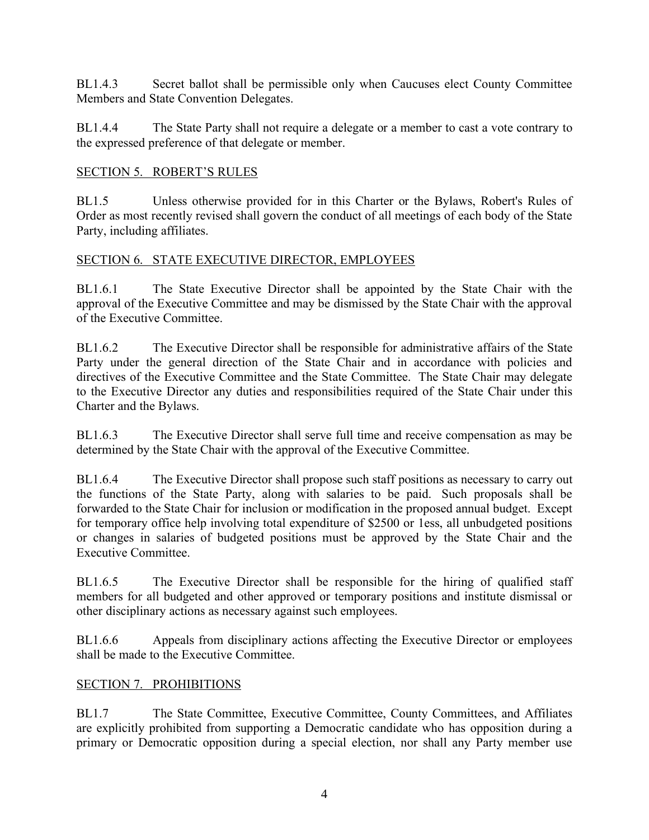BL1.4.3 Secret ballot shall be permissible only when Caucuses elect County Committee Members and State Convention Delegates.

BL1.4.4 The State Party shall not require a delegate or a member to cast a vote contrary to the expressed preference of that delegate or member.

#### SECTION 5. ROBERT'S RULES

BL1.5 Unless otherwise provided for in this Charter or the Bylaws, Robert's Rules of Order as most recently revised shall govern the conduct of all meetings of each body of the State Party, including affiliates.

#### SECTION 6. STATE EXECUTIVE DIRECTOR, EMPLOYEES

BL1.6.1 The State Executive Director shall be appointed by the State Chair with the approval of the Executive Committee and may be dismissed by the State Chair with the approval of the Executive Committee.

BL1.6.2 The Executive Director shall be responsible for administrative affairs of the State Party under the general direction of the State Chair and in accordance with policies and directives of the Executive Committee and the State Committee. The State Chair may delegate to the Executive Director any duties and responsibilities required of the State Chair under this Charter and the Bylaws.

BL1.6.3 The Executive Director shall serve full time and receive compensation as may be determined by the State Chair with the approval of the Executive Committee.

BL1.6.4 The Executive Director shall propose such staff positions as necessary to carry out the functions of the State Party, along with salaries to be paid. Such proposals shall be forwarded to the State Chair for inclusion or modification in the proposed annual budget. Except for temporary office help involving total expenditure of \$2500 or 1ess, all unbudgeted positions or changes in salaries of budgeted positions must be approved by the State Chair and the Executive Committee.

BL1.6.5 The Executive Director shall be responsible for the hiring of qualified staff members for all budgeted and other approved or temporary positions and institute dismissal or other disciplinary actions as necessary against such employees.

BL1.6.6 Appeals from disciplinary actions affecting the Executive Director or employees shall be made to the Executive Committee.

#### SECTION 7. PROHIBITIONS

BL1.7 The State Committee, Executive Committee, County Committees, and Affiliates are explicitly prohibited from supporting a Democratic candidate who has opposition during a primary or Democratic opposition during a special election, nor shall any Party member use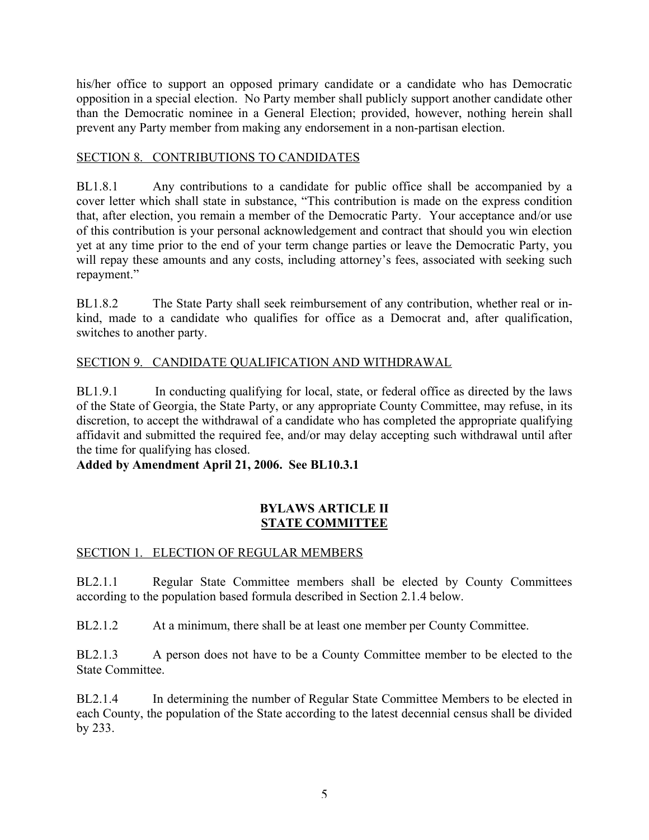his/her office to support an opposed primary candidate or a candidate who has Democratic opposition in a special election. No Party member shall publicly support another candidate other than the Democratic nominee in a General Election; provided, however, nothing herein shall prevent any Party member from making any endorsement in a non-partisan election.

## SECTION 8. CONTRIBUTIONS TO CANDIDATES

BL1.8.1 Any contributions to a candidate for public office shall be accompanied by a cover letter which shall state in substance, "This contribution is made on the express condition that, after election, you remain a member of the Democratic Party. Your acceptance and/or use of this contribution is your personal acknowledgement and contract that should you win election yet at any time prior to the end of your term change parties or leave the Democratic Party, you will repay these amounts and any costs, including attorney's fees, associated with seeking such repayment."

BL1.8.2 The State Party shall seek reimbursement of any contribution, whether real or inkind, made to a candidate who qualifies for office as a Democrat and, after qualification, switches to another party.

# SECTION 9. CANDIDATE QUALIFICATION AND WITHDRAWAL

BL1.9.1 In conducting qualifying for local, state, or federal office as directed by the laws of the State of Georgia, the State Party, or any appropriate County Committee, may refuse, in its discretion, to accept the withdrawal of a candidate who has completed the appropriate qualifying affidavit and submitted the required fee, and/or may delay accepting such withdrawal until after the time for qualifying has closed.

**Added by Amendment April 21, 2006. See BL10.3.1**

#### **BYLAWS ARTICLE II STATE COMMITTEE**

#### SECTION 1. ELECTION OF REGULAR MEMBERS

BL2.1.1 Regular State Committee members shall be elected by County Committees according to the population based formula described in Section 2.1.4 below.

BL2.1.2 At a minimum, there shall be at least one member per County Committee.

BL2.1.3 A person does not have to be a County Committee member to be elected to the State Committee.

BL2.1.4 In determining the number of Regular State Committee Members to be elected in each County, the population of the State according to the latest decennial census shall be divided by 233.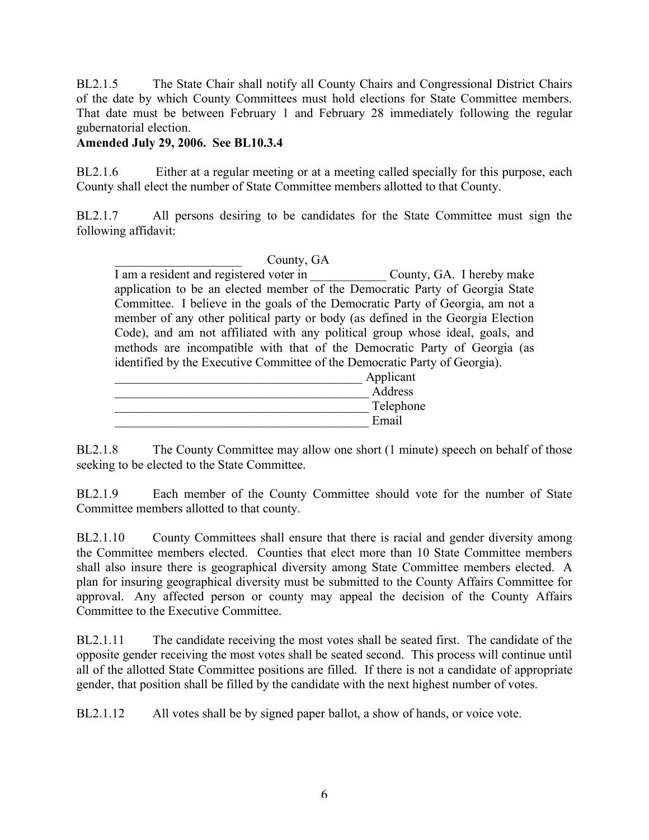BL2.1.5 The State Chair shall notify all County Chairs and Congressional District Chairs of the date by which County Committees must hold elections for State Committee members. That date must be between February 1 and February 28 immediately following the regular gubernatorial election.

#### **Amended July 29, 2006. See BL10.3.4**

BL2.1.6 Either at a regular meeting or at a meeting called specially for this purpose, each County shall elect the number of State Committee members allotted to that County.

BL2.1.7 All persons desiring to be candidates for the State Committee must sign the following affidavit:

County, GA I am a resident and registered voter in County, GA. I hereby make application to be an elected member of the Democratic Party of Georgia State Committee. I believe in the goals of the Democratic Party of Georgia, am not a member of any other political party or body (as defined in the Georgia Election Code), and am not affiliated with any political group whose ideal, goals, and methods are incompatible with that of the Democratic Party of Georgia (as identified by the Executive Committee of the Democratic Party of Georgia).

| Applicant |
|-----------|
| Address   |
| Telephone |
| Email     |

BL2.1.8 The County Committee may allow one short (1 minute) speech on behalf of those seeking to be elected to the State Committee.

BL2.1.9 Each member of the County Committee should vote for the number of State Committee members allotted to that county.

BL2.1.10 County Committees shall ensure that there is racial and gender diversity among the Committee members elected. Counties that elect more than 10 State Committee members shall also insure there is geographical diversity among State Committee members elected. A plan for insuring geographical diversity must be submitted to the County Affairs Committee for approval. Any affected person or county may appeal the decision of the County Affairs Committee to the Executive Committee.

BL2.1.11 The candidate receiving the most votes shall be seated first. The candidate of the opposite gender receiving the most votes shall be seated second. This process will continue until all of the allotted State Committee positions are filled. If there is not a candidate of appropriate gender, that position shall be filled by the candidate with the next highest number of votes.

BL2.1.12 All votes shall be by signed paper ballot, a show of hands, or voice vote.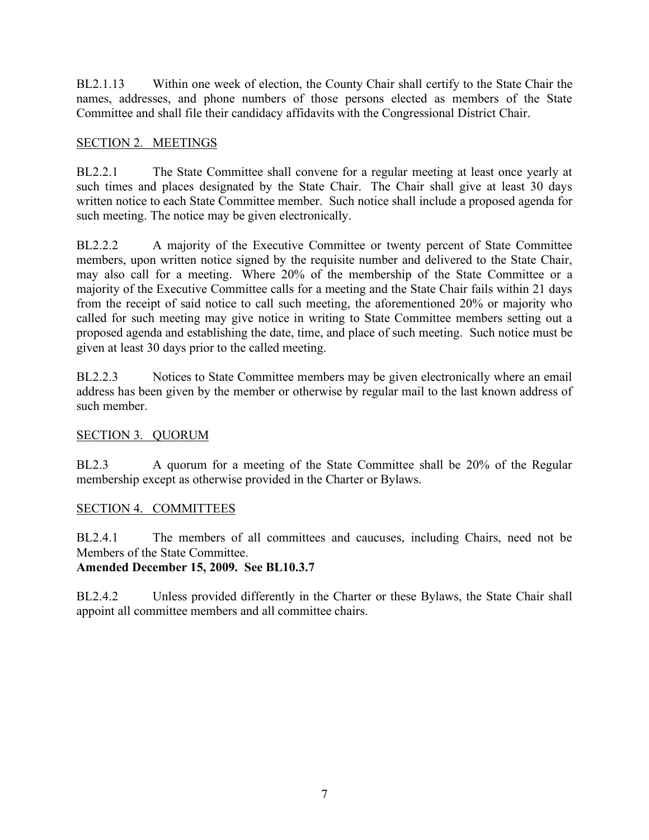BL2.1.13 Within one week of election, the County Chair shall certify to the State Chair the names, addresses, and phone numbers of those persons elected as members of the State Committee and shall file their candidacy affidavits with the Congressional District Chair.

# SECTION 2. MEETINGS

BL2.2.1 The State Committee shall convene for a regular meeting at least once yearly at such times and places designated by the State Chair. The Chair shall give at least 30 days written notice to each State Committee member. Such notice shall include a proposed agenda for such meeting. The notice may be given electronically.

BL2.2.2 A majority of the Executive Committee or twenty percent of State Committee members, upon written notice signed by the requisite number and delivered to the State Chair, may also call for a meeting. Where 20% of the membership of the State Committee or a majority of the Executive Committee calls for a meeting and the State Chair fails within 21 days from the receipt of said notice to call such meeting, the aforementioned 20% or majority who called for such meeting may give notice in writing to State Committee members setting out a proposed agenda and establishing the date, time, and place of such meeting. Such notice must be given at least 30 days prior to the called meeting.

BL2.2.3 Notices to State Committee members may be given electronically where an email address has been given by the member or otherwise by regular mail to the last known address of such member.

# SECTION 3. QUORUM

BL2.3 A quorum for a meeting of the State Committee shall be 20% of the Regular membership except as otherwise provided in the Charter or Bylaws.

#### SECTION 4. COMMITTEES

BL2.4.1 The members of all committees and caucuses, including Chairs, need not be Members of the State Committee.

#### **Amended December 15, 2009. See BL10.3.7**

BL2.4.2 Unless provided differently in the Charter or these Bylaws, the State Chair shall appoint all committee members and all committee chairs.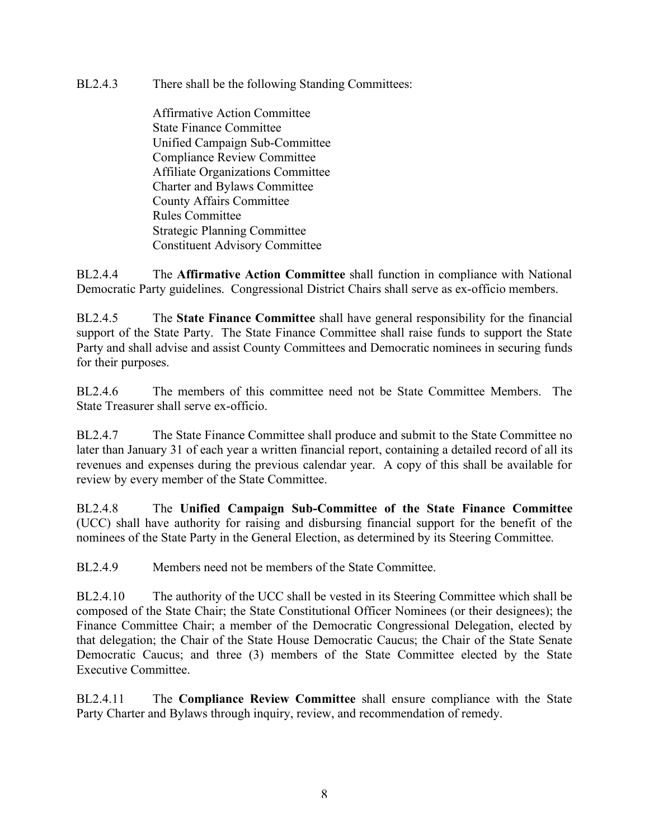BL2.4.3 There shall be the following Standing Committees:

Affirmative Action Committee State Finance Committee Unified Campaign Sub-Committee Compliance Review Committee Affiliate Organizations Committee Charter and Bylaws Committee County Affairs Committee Rules Committee Strategic Planning Committee Constituent Advisory Committee

BL2.4.4 The **Affirmative Action Committee** shall function in compliance with National Democratic Party guidelines. Congressional District Chairs shall serve as ex-officio members.

BL2.4.5 The **State Finance Committee** shall have general responsibility for the financial support of the State Party. The State Finance Committee shall raise funds to support the State Party and shall advise and assist County Committees and Democratic nominees in securing funds for their purposes.

BL2.4.6 The members of this committee need not be State Committee Members. The State Treasurer shall serve ex-officio.

BL2.4.7 The State Finance Committee shall produce and submit to the State Committee no later than January 31 of each year a written financial report, containing a detailed record of all its revenues and expenses during the previous calendar year. A copy of this shall be available for review by every member of the State Committee.

BL2.4.8 The **Unified Campaign Sub-Committee of the State Finance Committee** (UCC) shall have authority for raising and disbursing financial support for the benefit of the nominees of the State Party in the General Election, as determined by its Steering Committee.

BL2.4.9 Members need not be members of the State Committee.

BL2.4.10 The authority of the UCC shall be vested in its Steering Committee which shall be composed of the State Chair; the State Constitutional Officer Nominees (or their designees); the Finance Committee Chair; a member of the Democratic Congressional Delegation, elected by that delegation; the Chair of the State House Democratic Caucus; the Chair of the State Senate Democratic Caucus; and three (3) members of the State Committee elected by the State Executive Committee.

BL2.4.11 The **Compliance Review Committee** shall ensure compliance with the State Party Charter and Bylaws through inquiry, review, and recommendation of remedy.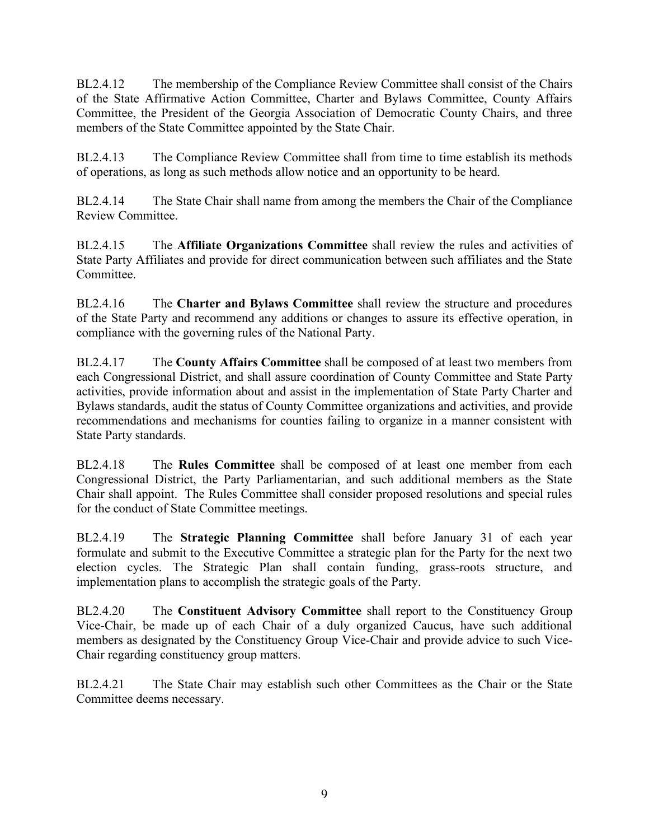BL2.4.12 The membership of the Compliance Review Committee shall consist of the Chairs of the State Affirmative Action Committee, Charter and Bylaws Committee, County Affairs Committee, the President of the Georgia Association of Democratic County Chairs, and three members of the State Committee appointed by the State Chair.

BL2.4.13 The Compliance Review Committee shall from time to time establish its methods of operations, as long as such methods allow notice and an opportunity to be heard.

BL2.4.14 The State Chair shall name from among the members the Chair of the Compliance Review Committee.

BL2.4.15 The **Affiliate Organizations Committee** shall review the rules and activities of State Party Affiliates and provide for direct communication between such affiliates and the State Committee.

BL2.4.16 The **Charter and Bylaws Committee** shall review the structure and procedures of the State Party and recommend any additions or changes to assure its effective operation, in compliance with the governing rules of the National Party.

BL2.4.17 The **County Affairs Committee** shall be composed of at least two members from each Congressional District, and shall assure coordination of County Committee and State Party activities, provide information about and assist in the implementation of State Party Charter and Bylaws standards, audit the status of County Committee organizations and activities, and provide recommendations and mechanisms for counties failing to organize in a manner consistent with State Party standards.

BL2.4.18 The **Rules Committee** shall be composed of at least one member from each Congressional District, the Party Parliamentarian, and such additional members as the State Chair shall appoint. The Rules Committee shall consider proposed resolutions and special rules for the conduct of State Committee meetings.

BL2.4.19 The **Strategic Planning Committee** shall before January 31 of each year formulate and submit to the Executive Committee a strategic plan for the Party for the next two election cycles. The Strategic Plan shall contain funding, grass-roots structure, and implementation plans to accomplish the strategic goals of the Party.

BL2.4.20 The **Constituent Advisory Committee** shall report to the Constituency Group Vice-Chair, be made up of each Chair of a duly organized Caucus, have such additional members as designated by the Constituency Group Vice-Chair and provide advice to such Vice-Chair regarding constituency group matters.

BL2.4.21 The State Chair may establish such other Committees as the Chair or the State Committee deems necessary.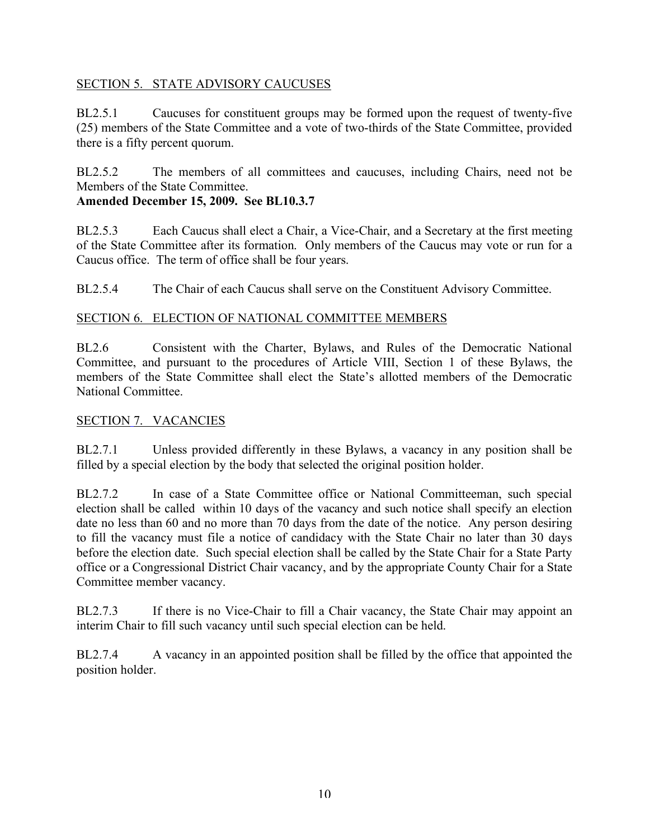#### SECTION 5. STATE ADVISORY CAUCUSES

BL2.5.1 Caucuses for constituent groups may be formed upon the request of twenty-five (25) members of the State Committee and a vote of two-thirds of the State Committee, provided there is a fifty percent quorum.

BL2.5.2 The members of all committees and caucuses, including Chairs, need not be Members of the State Committee.

#### **Amended December 15, 2009. See BL10.3.7**

BL2.5.3 Each Caucus shall elect a Chair, a Vice-Chair, and a Secretary at the first meeting of the State Committee after its formation. Only members of the Caucus may vote or run for a Caucus office. The term of office shall be four years.

BL2.5.4 The Chair of each Caucus shall serve on the Constituent Advisory Committee.

#### SECTION 6. ELECTION OF NATIONAL COMMITTEE MEMBERS

BL2.6 Consistent with the Charter, Bylaws, and Rules of the Democratic National Committee, and pursuant to the procedures of Article VIII, Section 1 of these Bylaws, the members of the State Committee shall elect the State's allotted members of the Democratic National Committee.

#### SECTION 7. VACANCIES

BL2.7.1 Unless provided differently in these Bylaws, a vacancy in any position shall be filled by a special election by the body that selected the original position holder.

BL2.7.2 In case of a State Committee office or National Committeeman, such special election shall be called within 10 days of the vacancy and such notice shall specify an election date no less than 60 and no more than 70 days from the date of the notice. Any person desiring to fill the vacancy must file a notice of candidacy with the State Chair no later than 30 days before the election date. Such special election shall be called by the State Chair for a State Party office or a Congressional District Chair vacancy, and by the appropriate County Chair for a State Committee member vacancy.

BL2.7.3 If there is no Vice-Chair to fill a Chair vacancy, the State Chair may appoint an interim Chair to fill such vacancy until such special election can be held.

BL2.7.4 A vacancy in an appointed position shall be filled by the office that appointed the position holder.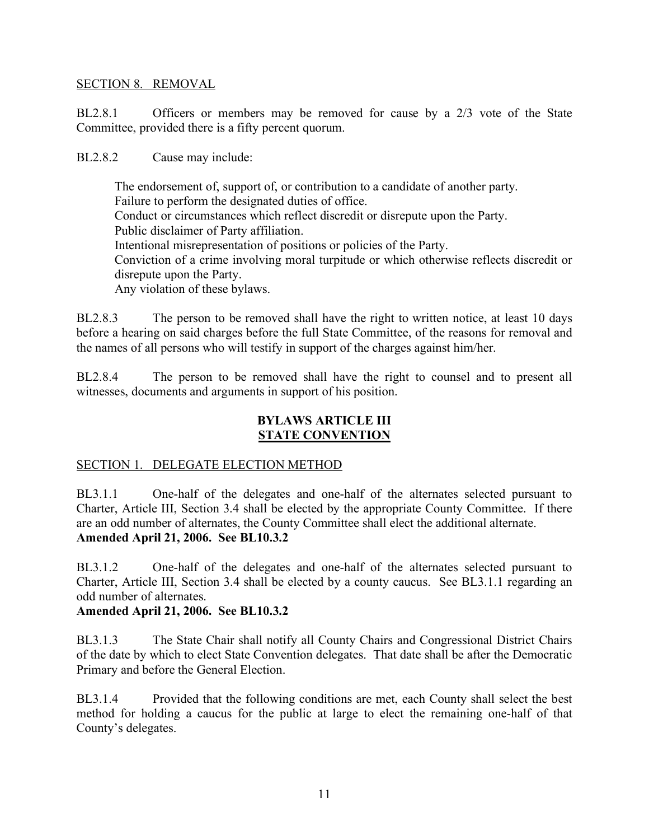#### SECTION 8. REMOVAL

BL2.8.1 Officers or members may be removed for cause by a 2/3 vote of the State Committee, provided there is a fifty percent quorum.

BL2.8.2 Cause may include:

The endorsement of, support of, or contribution to a candidate of another party. Failure to perform the designated duties of office. Conduct or circumstances which reflect discredit or disrepute upon the Party. Public disclaimer of Party affiliation. Intentional misrepresentation of positions or policies of the Party. Conviction of a crime involving moral turpitude or which otherwise reflects discredit or disrepute upon the Party. Any violation of these bylaws.

BL2.8.3 The person to be removed shall have the right to written notice, at least 10 days before a hearing on said charges before the full State Committee, of the reasons for removal and the names of all persons who will testify in support of the charges against him/her.

BL2.8.4 The person to be removed shall have the right to counsel and to present all witnesses, documents and arguments in support of his position.

#### **BYLAWS ARTICLE III STATE CONVENTION**

#### SECTION 1. DELEGATE ELECTION METHOD

BL3.1.1 One-half of the delegates and one-half of the alternates selected pursuant to Charter, Article III, Section 3.4 shall be elected by the appropriate County Committee. If there are an odd number of alternates, the County Committee shall elect the additional alternate. **Amended April 21, 2006. See BL10.3.2**

BL3.1.2 One-half of the delegates and one-half of the alternates selected pursuant to Charter, Article III, Section 3.4 shall be elected by a county caucus. See BL3.1.1 regarding an odd number of alternates.

#### **Amended April 21, 2006. See BL10.3.2**

BL3.1.3 The State Chair shall notify all County Chairs and Congressional District Chairs of the date by which to elect State Convention delegates. That date shall be after the Democratic Primary and before the General Election.

BL3.1.4 Provided that the following conditions are met, each County shall select the best method for holding a caucus for the public at large to elect the remaining one-half of that County's delegates.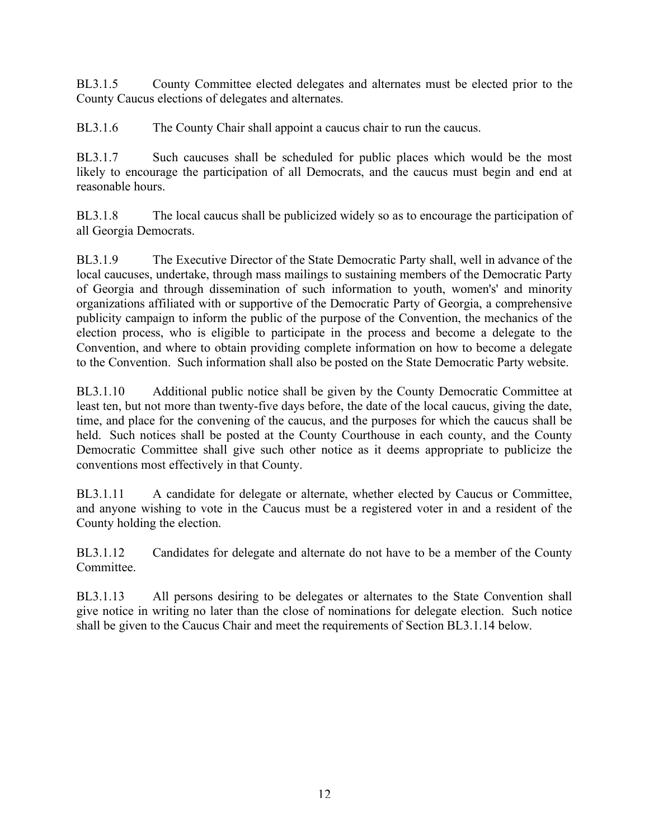BL3.1.5 County Committee elected delegates and alternates must be elected prior to the County Caucus elections of delegates and alternates.

BL3.1.6 The County Chair shall appoint a caucus chair to run the caucus.

BL3.1.7 Such caucuses shall be scheduled for public places which would be the most likely to encourage the participation of all Democrats, and the caucus must begin and end at reasonable hours.

BL3.1.8 The local caucus shall be publicized widely so as to encourage the participation of all Georgia Democrats.

BL3.1.9 The Executive Director of the State Democratic Party shall, well in advance of the local caucuses, undertake, through mass mailings to sustaining members of the Democratic Party of Georgia and through dissemination of such information to youth, women's' and minority organizations affiliated with or supportive of the Democratic Party of Georgia, a comprehensive publicity campaign to inform the public of the purpose of the Convention, the mechanics of the election process, who is eligible to participate in the process and become a delegate to the Convention, and where to obtain providing complete information on how to become a delegate to the Convention. Such information shall also be posted on the State Democratic Party website.

BL3.1.10 Additional public notice shall be given by the County Democratic Committee at least ten, but not more than twenty-five days before, the date of the local caucus, giving the date, time, and place for the convening of the caucus, and the purposes for which the caucus shall be held. Such notices shall be posted at the County Courthouse in each county, and the County Democratic Committee shall give such other notice as it deems appropriate to publicize the conventions most effectively in that County.

BL3.1.11 A candidate for delegate or alternate, whether elected by Caucus or Committee, and anyone wishing to vote in the Caucus must be a registered voter in and a resident of the County holding the election.

BL3.1.12 Candidates for delegate and alternate do not have to be a member of the County **Committee** 

BL3.1.13 All persons desiring to be delegates or alternates to the State Convention shall give notice in writing no later than the close of nominations for delegate election. Such notice shall be given to the Caucus Chair and meet the requirements of Section BL3.1.14 below.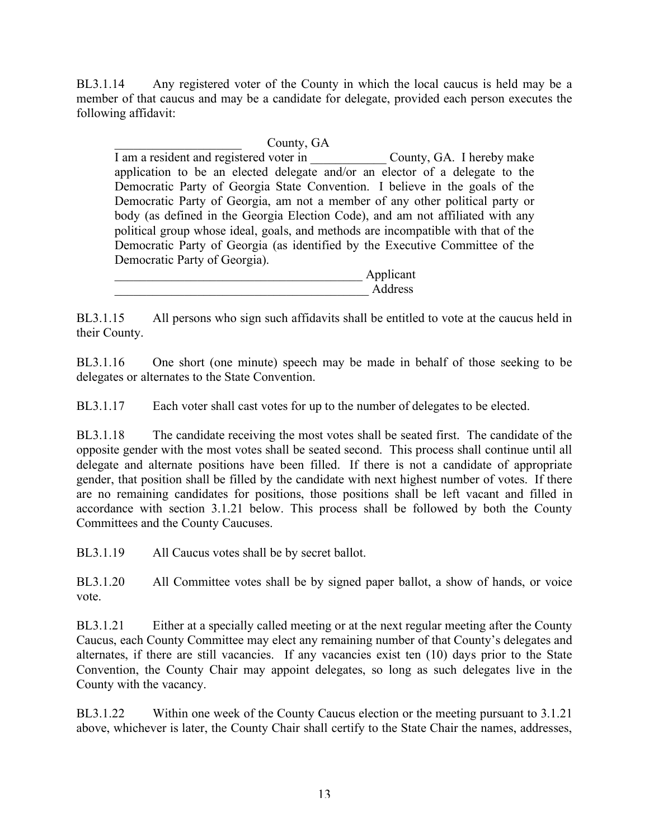BL3.1.14 Any registered voter of the County in which the local caucus is held may be a member of that caucus and may be a candidate for delegate, provided each person executes the following affidavit:

County, GA I am a resident and registered voter in \_\_\_\_\_\_\_\_\_\_\_\_ County, GA. I hereby make application to be an elected delegate and/or an elector of a delegate to the Democratic Party of Georgia State Convention. I believe in the goals of the Democratic Party of Georgia, am not a member of any other political party or body (as defined in the Georgia Election Code), and am not affiliated with any political group whose ideal, goals, and methods are incompatible with that of the Democratic Party of Georgia (as identified by the Executive Committee of the Democratic Party of Georgia).

Applicant \_\_\_\_\_\_\_\_\_\_\_\_\_\_\_\_\_\_\_\_\_\_\_\_\_\_\_\_\_\_\_\_\_\_\_\_\_\_\_\_ Address

BL3.1.15 All persons who sign such affidavits shall be entitled to vote at the caucus held in their County.

BL3.1.16 One short (one minute) speech may be made in behalf of those seeking to be delegates or alternates to the State Convention.

BL3.1.17 Each voter shall cast votes for up to the number of delegates to be elected.

BL3.1.18 The candidate receiving the most votes shall be seated first. The candidate of the opposite gender with the most votes shall be seated second. This process shall continue until all delegate and alternate positions have been filled. If there is not a candidate of appropriate gender, that position shall be filled by the candidate with next highest number of votes. If there are no remaining candidates for positions, those positions shall be left vacant and filled in accordance with section 3.1.21 below. This process shall be followed by both the County Committees and the County Caucuses.

BL3.1.19 All Caucus votes shall be by secret ballot.

BL3.1.20 All Committee votes shall be by signed paper ballot, a show of hands, or voice vote.

BL3.1.21 Either at a specially called meeting or at the next regular meeting after the County Caucus, each County Committee may elect any remaining number of that County's delegates and alternates, if there are still vacancies.If any vacancies exist ten (10) days prior to the State Convention, the County Chair may appoint delegates, so long as such delegates live in the County with the vacancy.

BL3.1.22 Within one week of the County Caucus election or the meeting pursuant to 3.1.21 above, whichever is later, the County Chair shall certify to the State Chair the names, addresses,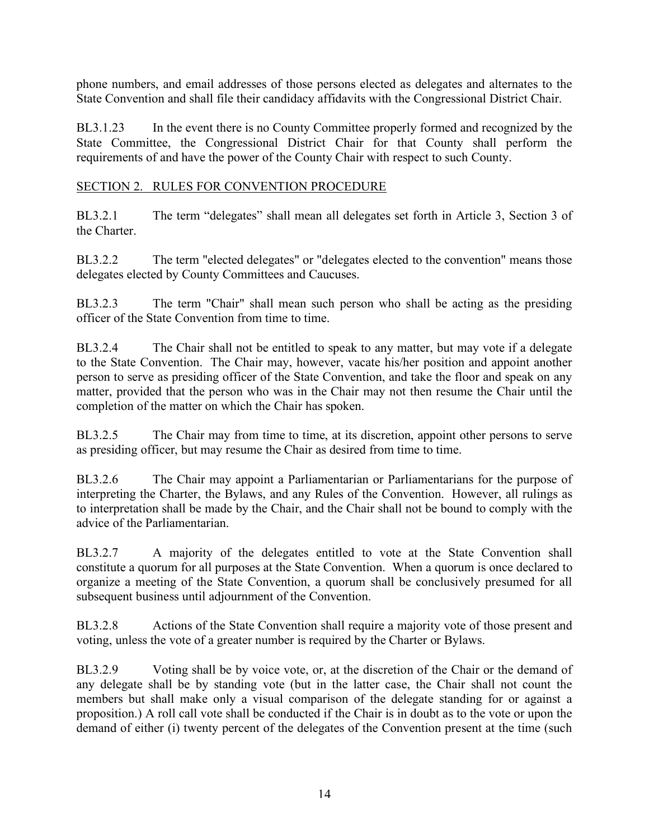phone numbers, and email addresses of those persons elected as delegates and alternates to the State Convention and shall file their candidacy affidavits with the Congressional District Chair.

BL3.1.23 In the event there is no County Committee properly formed and recognized by the State Committee, the Congressional District Chair for that County shall perform the requirements of and have the power of the County Chair with respect to such County.

#### SECTION 2. RULES FOR CONVENTION PROCEDURE

BL3.2.1 The term "delegates" shall mean all delegates set forth in Article 3, Section 3 of the Charter.

BL3.2.2 The term "elected delegates" or "delegates elected to the convention" means those delegates elected by County Committees and Caucuses.

BL3.2.3 The term "Chair" shall mean such person who shall be acting as the presiding officer of the State Convention from time to time.

BL3.2.4 The Chair shall not be entitled to speak to any matter, but may vote if a delegate to the State Convention. The Chair may, however, vacate his/her position and appoint another person to serve as presiding officer of the State Convention, and take the floor and speak on any matter, provided that the person who was in the Chair may not then resume the Chair until the completion of the matter on which the Chair has spoken.

BL3.2.5 The Chair may from time to time, at its discretion, appoint other persons to serve as presiding officer, but may resume the Chair as desired from time to time.

BL3.2.6 The Chair may appoint a Parliamentarian or Parliamentarians for the purpose of interpreting the Charter, the Bylaws, and any Rules of the Convention. However, all rulings as to interpretation shall be made by the Chair, and the Chair shall not be bound to comply with the advice of the Parliamentarian.

BL3.2.7 A majority of the delegates entitled to vote at the State Convention shall constitute a quorum for all purposes at the State Convention. When a quorum is once declared to organize a meeting of the State Convention, a quorum shall be conclusively presumed for all subsequent business until adjournment of the Convention.

BL3.2.8 Actions of the State Convention shall require a majority vote of those present and voting, unless the vote of a greater number is required by the Charter or Bylaws.

BL3.2.9 Voting shall be by voice vote, or, at the discretion of the Chair or the demand of any delegate shall be by standing vote (but in the latter case, the Chair shall not count the members but shall make only a visual comparison of the delegate standing for or against a proposition.) A roll call vote shall be conducted if the Chair is in doubt as to the vote or upon the demand of either (i) twenty percent of the delegates of the Convention present at the time (such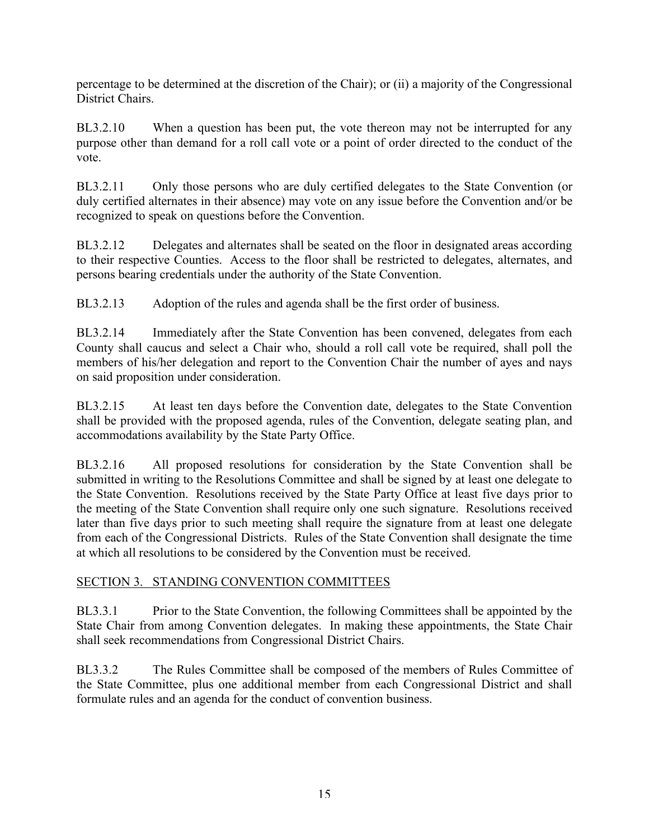percentage to be determined at the discretion of the Chair); or (ii) a majority of the Congressional District Chairs.

BL3.2.10 When a question has been put, the vote thereon may not be interrupted for any purpose other than demand for a roll call vote or a point of order directed to the conduct of the vote.

BL3.2.11 Only those persons who are duly certified delegates to the State Convention (or duly certified alternates in their absence) may vote on any issue before the Convention and/or be recognized to speak on questions before the Convention.

BL3.2.12 Delegates and alternates shall be seated on the floor in designated areas according to their respective Counties. Access to the floor shall be restricted to delegates, alternates, and persons bearing credentials under the authority of the State Convention.

BL3.2.13 Adoption of the rules and agenda shall be the first order of business.

BL3.2.14 Immediately after the State Convention has been convened, delegates from each County shall caucus and select a Chair who, should a roll call vote be required, shall poll the members of his/her delegation and report to the Convention Chair the number of ayes and nays on said proposition under consideration.

BL3.2.15 At least ten days before the Convention date, delegates to the State Convention shall be provided with the proposed agenda, rules of the Convention, delegate seating plan, and accommodations availability by the State Party Office.

BL3.2.16 All proposed resolutions for consideration by the State Convention shall be submitted in writing to the Resolutions Committee and shall be signed by at least one delegate to the State Convention. Resolutions received by the State Party Office at least five days prior to the meeting of the State Convention shall require only one such signature. Resolutions received later than five days prior to such meeting shall require the signature from at least one delegate from each of the Congressional Districts. Rules of the State Convention shall designate the time at which all resolutions to be considered by the Convention must be received.

#### SECTION 3. STANDING CONVENTION COMMITTEES

BL3.3.1 Prior to the State Convention, the following Committees shall be appointed by the State Chair from among Convention delegates. In making these appointments, the State Chair shall seek recommendations from Congressional District Chairs.

BL3.3.2 The Rules Committee shall be composed of the members of Rules Committee of the State Committee, plus one additional member from each Congressional District and shall formulate rules and an agenda for the conduct of convention business.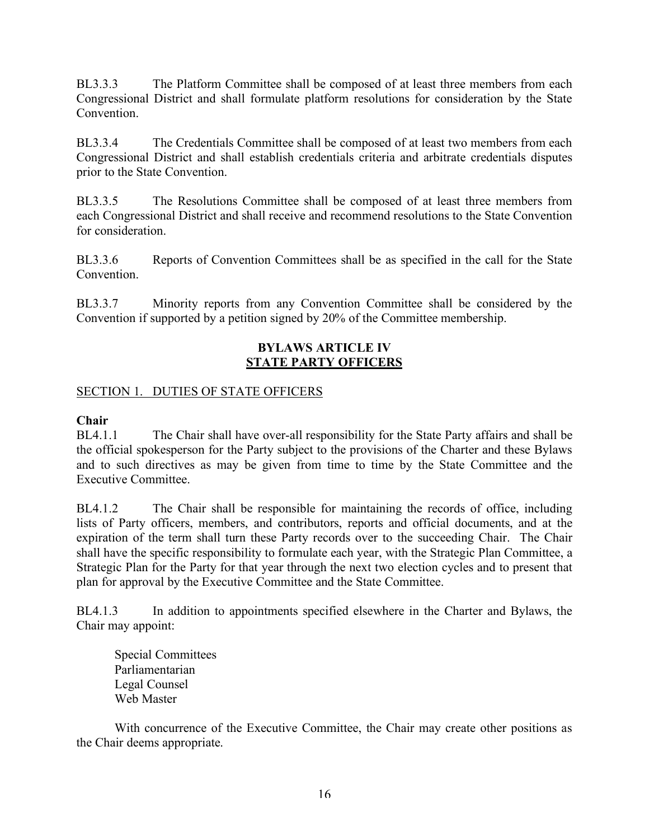BL3.3.3 The Platform Committee shall be composed of at least three members from each Congressional District and shall formulate platform resolutions for consideration by the State **Convention** 

BL3.3.4 The Credentials Committee shall be composed of at least two members from each Congressional District and shall establish credentials criteria and arbitrate credentials disputes prior to the State Convention.

BL3.3.5 The Resolutions Committee shall be composed of at least three members from each Congressional District and shall receive and recommend resolutions to the State Convention for consideration.

BL3.3.6 Reports of Convention Committees shall be as specified in the call for the State **Convention** 

BL3.3.7 Minority reports from any Convention Committee shall be considered by the Convention if supported by a petition signed by 20% of the Committee membership.

#### **BYLAWS ARTICLE IV STATE PARTY OFFICERS**

# SECTION 1. DUTIES OF STATE OFFICERS

#### **Chair**

BL4.1.1 The Chair shall have over-all responsibility for the State Party affairs and shall be the official spokesperson for the Party subject to the provisions of the Charter and these Bylaws and to such directives as may be given from time to time by the State Committee and the Executive Committee.

BL4.1.2 The Chair shall be responsible for maintaining the records of office, including lists of Party officers, members, and contributors, reports and official documents, and at the expiration of the term shall turn these Party records over to the succeeding Chair. The Chair shall have the specific responsibility to formulate each year, with the Strategic Plan Committee, a Strategic Plan for the Party for that year through the next two election cycles and to present that plan for approval by the Executive Committee and the State Committee.

BL4.1.3 In addition to appointments specified elsewhere in the Charter and Bylaws, the Chair may appoint:

Special Committees Parliamentarian Legal Counsel Web Master

With concurrence of the Executive Committee, the Chair may create other positions as the Chair deems appropriate.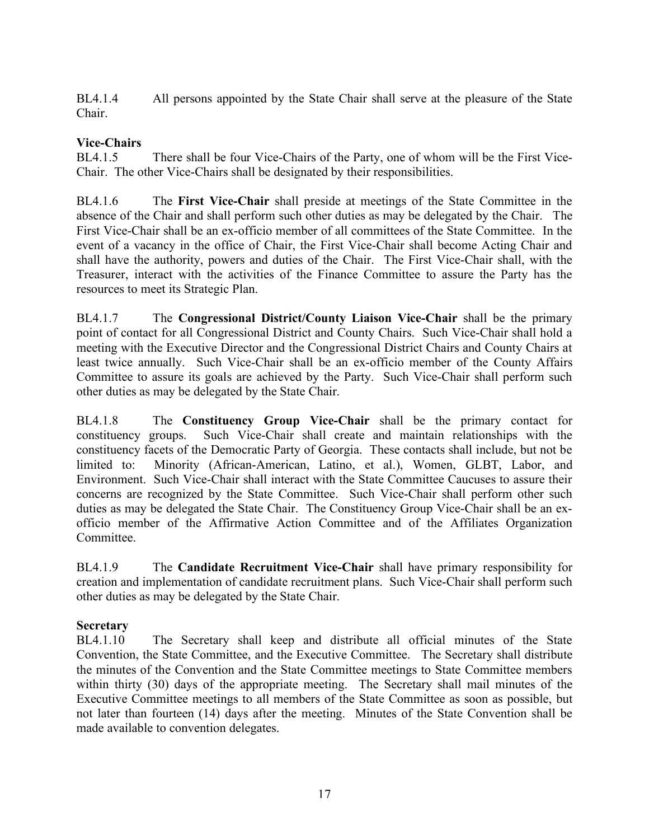BL4.1.4 All persons appointed by the State Chair shall serve at the pleasure of the State Chair.

## **Vice-Chairs**

BL4.1.5 There shall be four Vice-Chairs of the Party, one of whom will be the First Vice-Chair. The other Vice-Chairs shall be designated by their responsibilities.

BL4.1.6 The **First Vice-Chair** shall preside at meetings of the State Committee in the absence of the Chair and shall perform such other duties as may be delegated by the Chair. The First Vice-Chair shall be an ex-officio member of all committees of the State Committee. In the event of a vacancy in the office of Chair, the First Vice-Chair shall become Acting Chair and shall have the authority, powers and duties of the Chair. The First Vice-Chair shall, with the Treasurer, interact with the activities of the Finance Committee to assure the Party has the resources to meet its Strategic Plan.

BL4.1.7 The **Congressional District/County Liaison Vice-Chair** shall be the primary point of contact for all Congressional District and County Chairs. Such Vice-Chair shall hold a meeting with the Executive Director and the Congressional District Chairs and County Chairs at least twice annually. Such Vice-Chair shall be an ex-officio member of the County Affairs Committee to assure its goals are achieved by the Party. Such Vice-Chair shall perform such other duties as may be delegated by the State Chair.

BL4.1.8 The **Constituency Group Vice-Chair** shall be the primary contact for constituency groups. Such Vice-Chair shall create and maintain relationships with the constituency facets of the Democratic Party of Georgia. These contacts shall include, but not be limited to: Minority (African-American, Latino, et al.), Women, GLBT, Labor, and Environment. Such Vice-Chair shall interact with the State Committee Caucuses to assure their concerns are recognized by the State Committee. Such Vice-Chair shall perform other such duties as may be delegated the State Chair. The Constituency Group Vice-Chair shall be an exofficio member of the Affirmative Action Committee and of the Affiliates Organization **Committee** 

BL4.1.9 The **Candidate Recruitment Vice-Chair** shall have primary responsibility for creation and implementation of candidate recruitment plans. Such Vice-Chair shall perform such other duties as may be delegated by the State Chair.

# **Secretary**

BL4.1.10 The Secretary shall keep and distribute all official minutes of the State Convention, the State Committee, and the Executive Committee. The Secretary shall distribute the minutes of the Convention and the State Committee meetings to State Committee members within thirty (30) days of the appropriate meeting. The Secretary shall mail minutes of the Executive Committee meetings to all members of the State Committee as soon as possible, but not later than fourteen (14) days after the meeting. Minutes of the State Convention shall be made available to convention delegates.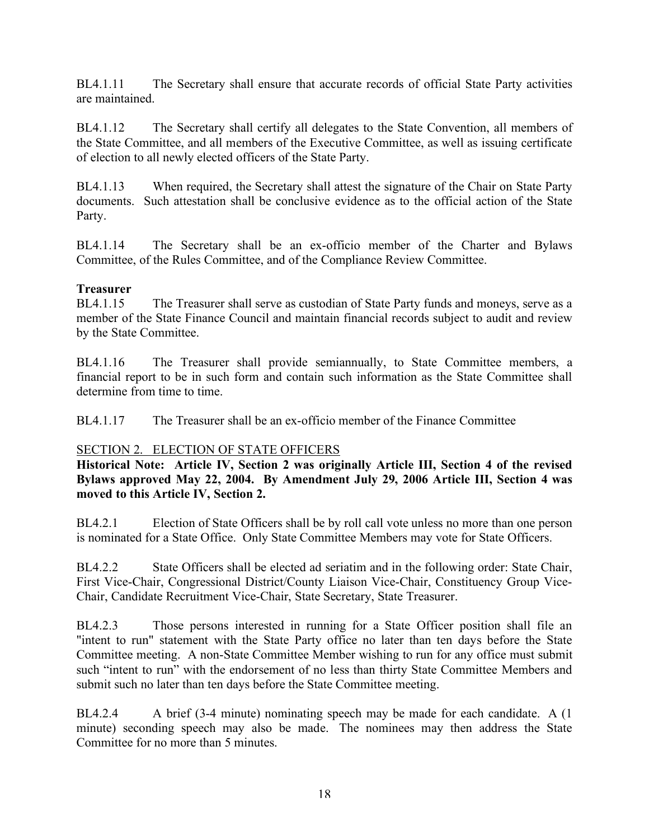BL4.1.11 The Secretary shall ensure that accurate records of official State Party activities are maintained.

BL4.1.12 The Secretary shall certify all delegates to the State Convention, all members of the State Committee, and all members of the Executive Committee, as well as issuing certificate of election to all newly elected officers of the State Party.

BL4.1.13 When required, the Secretary shall attest the signature of the Chair on State Party documents. Such attestation shall be conclusive evidence as to the official action of the State Party.

BL4.1.14 The Secretary shall be an ex-officio member of the Charter and Bylaws Committee, of the Rules Committee, and of the Compliance Review Committee.

#### **Treasurer**

BL4.1.15 The Treasurer shall serve as custodian of State Party funds and moneys, serve as a member of the State Finance Council and maintain financial records subject to audit and review by the State Committee.

BL4.1.16 The Treasurer shall provide semiannually, to State Committee members, a financial report to be in such form and contain such information as the State Committee shall determine from time to time.

BL4.1.17 The Treasurer shall be an ex-officio member of the Finance Committee

#### SECTION 2. ELECTION OF STATE OFFICERS

**Historical Note: Article IV, Section 2 was originally Article III, Section 4 of the revised Bylaws approved May 22, 2004. By Amendment July 29, 2006 Article III, Section 4 was moved to this Article IV, Section 2.**

BL4.2.1 Election of State Officers shall be by roll call vote unless no more than one person is nominated for a State Office. Only State Committee Members may vote for State Officers.

BL4.2.2 State Officers shall be elected ad seriatim and in the following order: State Chair, First Vice-Chair, Congressional District/County Liaison Vice-Chair, Constituency Group Vice-Chair, Candidate Recruitment Vice-Chair, State Secretary, State Treasurer.

BL4.2.3 Those persons interested in running for a State Officer position shall file an "intent to run" statement with the State Party office no later than ten days before the State Committee meeting. A non-State Committee Member wishing to run for any office must submit such "intent to run" with the endorsement of no less than thirty State Committee Members and submit such no later than ten days before the State Committee meeting.

BL4.2.4 A brief (3-4 minute) nominating speech may be made for each candidate. A (1 minute) seconding speech may also be made. The nominees may then address the State Committee for no more than 5 minutes.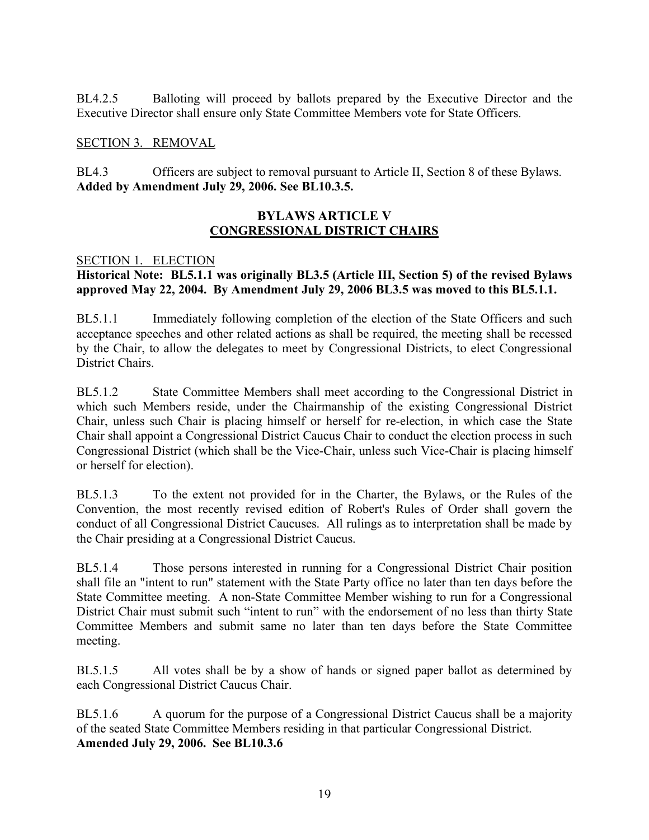BL4.2.5 Balloting will proceed by ballots prepared by the Executive Director and the Executive Director shall ensure only State Committee Members vote for State Officers.

#### SECTION 3. REMOVAL

BL4.3 Officers are subject to removal pursuant to Article II, Section 8 of these Bylaws. **Added by Amendment July 29, 2006. See BL10.3.5.**

#### **BYLAWS ARTICLE V CONGRESSIONAL DISTRICT CHAIRS**

#### SECTION 1. ELECTION

#### **Historical Note: BL5.1.1 was originally BL3.5 (Article III, Section 5) of the revised Bylaws approved May 22, 2004. By Amendment July 29, 2006 BL3.5 was moved to this BL5.1.1.**

BL5.1.1 Immediately following completion of the election of the State Officers and such acceptance speeches and other related actions as shall be required, the meeting shall be recessed by the Chair, to allow the delegates to meet by Congressional Districts, to elect Congressional District Chairs.

BL5.1.2 State Committee Members shall meet according to the Congressional District in which such Members reside, under the Chairmanship of the existing Congressional District Chair, unless such Chair is placing himself or herself for re-election, in which case the State Chair shall appoint a Congressional District Caucus Chair to conduct the election process in such Congressional District (which shall be the Vice-Chair, unless such Vice-Chair is placing himself or herself for election).

BL5.1.3 To the extent not provided for in the Charter, the Bylaws, or the Rules of the Convention, the most recently revised edition of Robert's Rules of Order shall govern the conduct of all Congressional District Caucuses. All rulings as to interpretation shall be made by the Chair presiding at a Congressional District Caucus.

BL5.1.4 Those persons interested in running for a Congressional District Chair position shall file an "intent to run" statement with the State Party office no later than ten days before the State Committee meeting. A non-State Committee Member wishing to run for a Congressional District Chair must submit such "intent to run" with the endorsement of no less than thirty State Committee Members and submit same no later than ten days before the State Committee meeting.

BL5.1.5 All votes shall be by a show of hands or signed paper ballot as determined by each Congressional District Caucus Chair.

BL5.1.6 A quorum for the purpose of a Congressional District Caucus shall be a majority of the seated State Committee Members residing in that particular Congressional District. **Amended July 29, 2006. See BL10.3.6**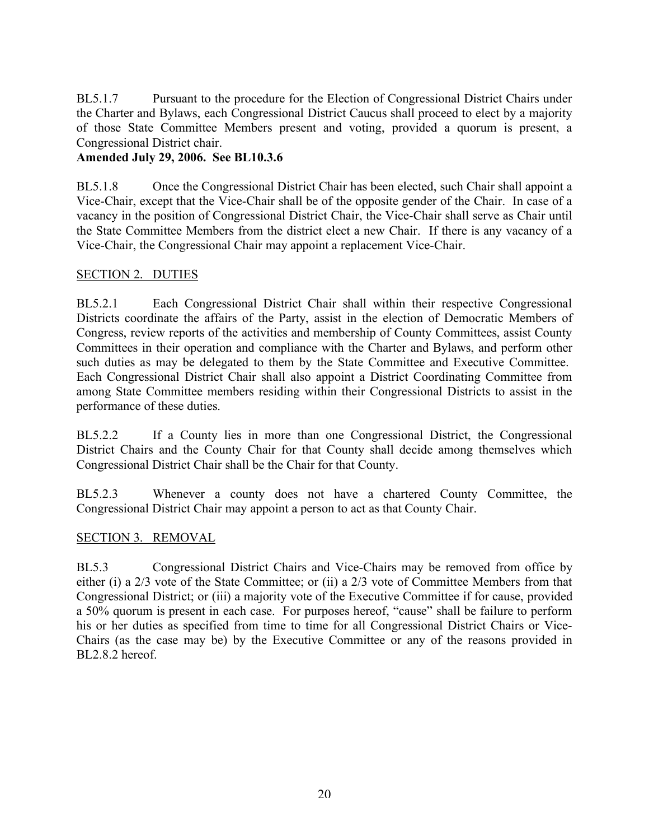BL5.1.7 Pursuant to the procedure for the Election of Congressional District Chairs under the Charter and Bylaws, each Congressional District Caucus shall proceed to elect by a majority of those State Committee Members present and voting, provided a quorum is present, a Congressional District chair.

#### **Amended July 29, 2006. See BL10.3.6**

BL5.1.8 Once the Congressional District Chair has been elected, such Chair shall appoint a Vice-Chair, except that the Vice-Chair shall be of the opposite gender of the Chair. In case of a vacancy in the position of Congressional District Chair, the Vice-Chair shall serve as Chair until the State Committee Members from the district elect a new Chair. If there is any vacancy of a Vice-Chair, the Congressional Chair may appoint a replacement Vice-Chair.

#### SECTION 2. DUTIES

BL5.2.1 Each Congressional District Chair shall within their respective Congressional Districts coordinate the affairs of the Party, assist in the election of Democratic Members of Congress, review reports of the activities and membership of County Committees, assist County Committees in their operation and compliance with the Charter and Bylaws, and perform other such duties as may be delegated to them by the State Committee and Executive Committee. Each Congressional District Chair shall also appoint a District Coordinating Committee from among State Committee members residing within their Congressional Districts to assist in the performance of these duties.

BL5.2.2 If a County lies in more than one Congressional District, the Congressional District Chairs and the County Chair for that County shall decide among themselves which Congressional District Chair shall be the Chair for that County.

BL5.2.3 Whenever a county does not have a chartered County Committee, the Congressional District Chair may appoint a person to act as that County Chair.

#### SECTION 3. REMOVAL

BL5.3 Congressional District Chairs and Vice-Chairs may be removed from office by either (i) a 2/3 vote of the State Committee; or (ii) a 2/3 vote of Committee Members from that Congressional District; or (iii) a majority vote of the Executive Committee if for cause, provided a 50% quorum is present in each case. For purposes hereof, "cause" shall be failure to perform his or her duties as specified from time to time for all Congressional District Chairs or Vice-Chairs (as the case may be) by the Executive Committee or any of the reasons provided in BL2.8.2 hereof.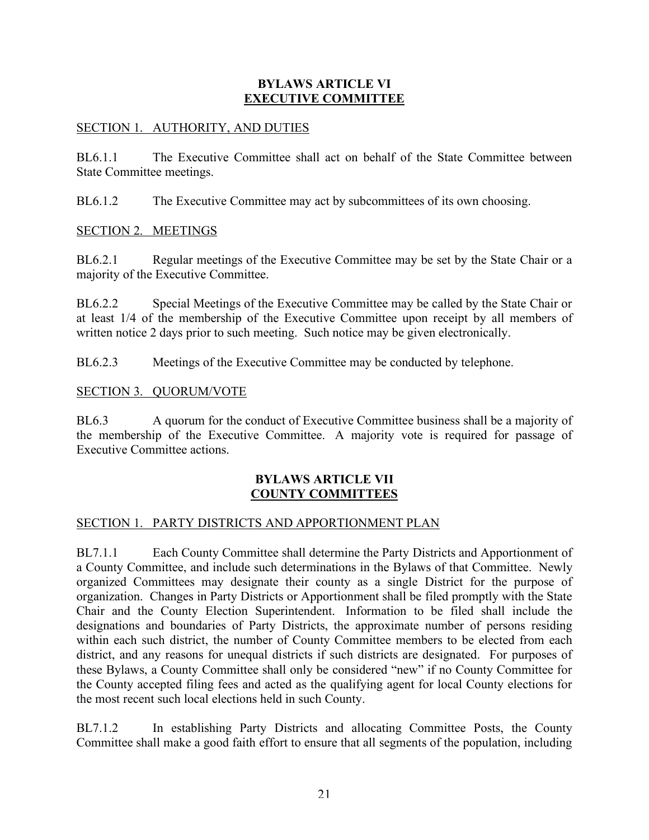#### **BYLAWS ARTICLE VI EXECUTIVE COMMITTEE**

#### SECTION 1. AUTHORITY, AND DUTIES

BL6.1.1 The Executive Committee shall act on behalf of the State Committee between State Committee meetings.

BL6.1.2 The Executive Committee may act by subcommittees of its own choosing.

SECTION 2. MEETINGS

BL6.2.1 Regular meetings of the Executive Committee may be set by the State Chair or a majority of the Executive Committee.

BL6.2.2 Special Meetings of the Executive Committee may be called by the State Chair or at least 1/4 of the membership of the Executive Committee upon receipt by all members of written notice 2 days prior to such meeting. Such notice may be given electronically.

BL6.2.3 Meetings of the Executive Committee may be conducted by telephone.

#### SECTION 3. QUORUM/VOTE

BL6.3 A quorum for the conduct of Executive Committee business shall be a majority of the membership of the Executive Committee. A majority vote is required for passage of Executive Committee actions.

#### **BYLAWS ARTICLE VII COUNTY COMMITTEES**

#### SECTION 1. PARTY DISTRICTS AND APPORTIONMENT PLAN

BL7.1.1 Each County Committee shall determine the Party Districts and Apportionment of a County Committee, and include such determinations in the Bylaws of that Committee. Newly organized Committees may designate their county as a single District for the purpose of organization. Changes in Party Districts or Apportionment shall be filed promptly with the State Chair and the County Election Superintendent. Information to be filed shall include the designations and boundaries of Party Districts, the approximate number of persons residing within each such district, the number of County Committee members to be elected from each district, and any reasons for unequal districts if such districts are designated. For purposes of these Bylaws, a County Committee shall only be considered "new" if no County Committee for the County accepted filing fees and acted as the qualifying agent for local County elections for the most recent such local elections held in such County.

BL7.1.2 In establishing Party Districts and allocating Committee Posts, the County Committee shall make a good faith effort to ensure that all segments of the population, including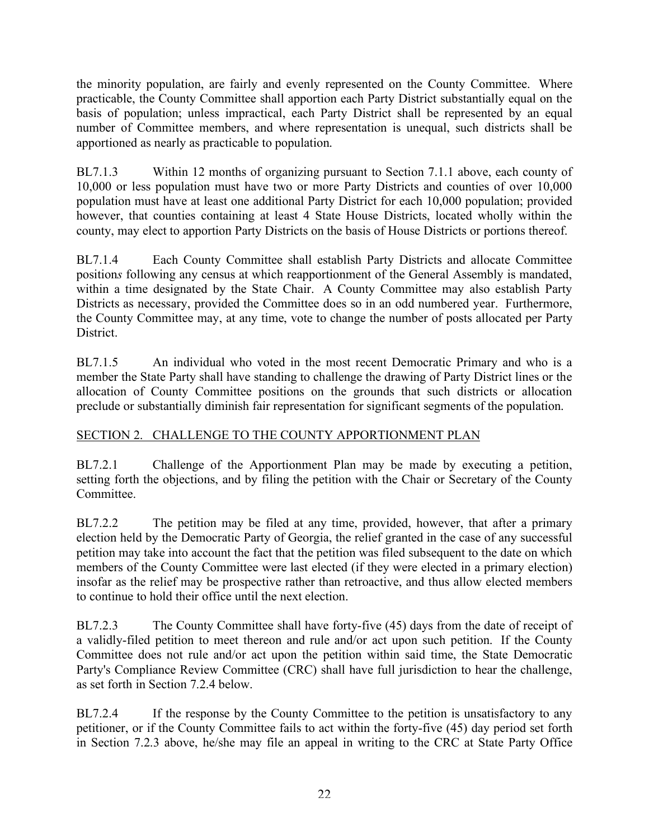the minority population, are fairly and evenly represented on the County Committee. Where practicable, the County Committee shall apportion each Party District substantially equal on the basis of population; unless impractical, each Party District shall be represented by an equal number of Committee members, and where representation is unequal, such districts shall be apportioned as nearly as practicable to population.

BL7.1.3 Within 12 months of organizing pursuant to Section 7.1.1 above, each county of 10,000 or less population must have two or more Party Districts and counties of over 10,000 population must have at least one additional Party District for each 10,000 population; provided however, that counties containing at least 4 State House Districts, located wholly within the county, may elect to apportion Party Districts on the basis of House Districts or portions thereof.

BL7.1.4 Each County Committee shall establish Party Districts and allocate Committee position*s* following any census at which reapportionment of the General Assembly is mandated, within a time designated by the State Chair. A County Committee may also establish Party Districts as necessary, provided the Committee does so in an odd numbered year. Furthermore, the County Committee may, at any time, vote to change the number of posts allocated per Party District.

BL7.1.5 An individual who voted in the most recent Democratic Primary and who is a member the State Party shall have standing to challenge the drawing of Party District lines or the allocation of County Committee positions on the grounds that such districts or allocation preclude or substantially diminish fair representation for significant segments of the population.

# SECTION 2. CHALLENGE TO THE COUNTY APPORTIONMENT PLAN

BL7.2.1 Challenge of the Apportionment Plan may be made by executing a petition, setting forth the objections, and by filing the petition with the Chair or Secretary of the County **Committee** 

BL7.2.2 The petition may be filed at any time, provided, however, that after a primary election held by the Democratic Party of Georgia, the relief granted in the case of any successful petition may take into account the fact that the petition was filed subsequent to the date on which members of the County Committee were last elected (if they were elected in a primary election) insofar as the relief may be prospective rather than retroactive, and thus allow elected members to continue to hold their office until the next election.

BL7.2.3 The County Committee shall have forty-five (45) days from the date of receipt of a validly-filed petition to meet thereon and rule and/or act upon such petition. If the County Committee does not rule and/or act upon the petition within said time, the State Democratic Party's Compliance Review Committee (CRC) shall have full jurisdiction to hear the challenge, as set forth in Section 7.2.4 below.

BL7.2.4 If the response by the County Committee to the petition is unsatisfactory to any petitioner, or if the County Committee fails to act within the forty-five (45) day period set forth in Section 7.2.3 above, he/she may file an appeal in writing to the CRC at State Party Office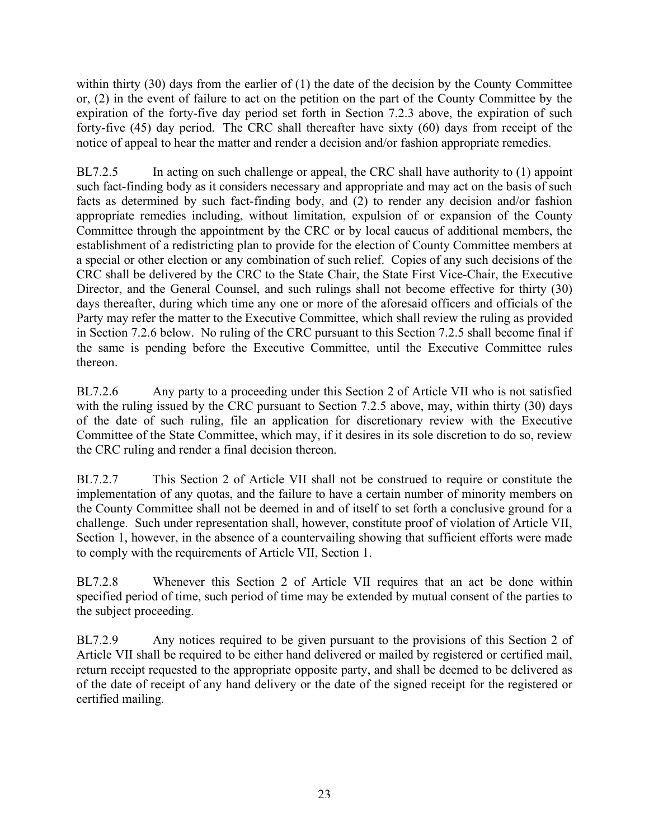within thirty (30) days from the earlier of (1) the date of the decision by the County Committee or, (2) in the event of failure to act on the petition on the part of the County Committee by the expiration of the forty-five day period set forth in Section 7.2.3 above, the expiration of such forty-five (45) day period. The CRC shall thereafter have sixty (60) days from receipt of the notice of appeal to hear the matter and render a decision and/or fashion appropriate remedies.

BL7.2.5 In acting on such challenge or appeal, the CRC shall have authority to (1) appoint such fact-finding body as it considers necessary and appropriate and may act on the basis of such facts as determined by such fact-finding body, and (2) to render any decision and/or fashion appropriate remedies including, without limitation, expulsion of or expansion of the County Committee through the appointment by the CRC or by local caucus of additional members, the establishment of a redistricting plan to provide for the election of County Committee members at a special or other election or any combination of such relief. Copies of any such decisions of the CRC shall be delivered by the CRC to the State Chair, the State First Vice-Chair, the Executive Director, and the General Counsel, and such rulings shall not become effective for thirty (30) days thereafter, during which time any one or more of the aforesaid officers and officials of the Party may refer the matter to the Executive Committee, which shall review the ruling as provided in Section 7.2.6 below. No ruling of the CRC pursuant to this Section 7.2.5 shall become final if the same is pending before the Executive Committee, until the Executive Committee rules thereon.

BL7.2.6 Any party to a proceeding under this Section 2 of Article VII who is not satisfied with the ruling issued by the CRC pursuant to Section 7.2.5 above, may, within thirty (30) days of the date of such ruling, file an application for discretionary review with the Executive Committee of the State Committee, which may, if it desires in its sole discretion to do so, review the CRC ruling and render a final decision thereon.

BL7.2.7 This Section 2 of Article VII shall not be construed to require or constitute the implementation of any quotas, and the failure to have a certain number of minority members on the County Committee shall not be deemed in and of itself to set forth a conclusive ground for a challenge. Such under representation shall, however, constitute proof of violation of Article VII, Section 1, however, in the absence of a countervailing showing that sufficient efforts were made to comply with the requirements of Article VII, Section 1.

BL7.2.8 Whenever this Section 2 of Article VII requires that an act be done within specified period of time, such period of time may be extended by mutual consent of the parties to the subject proceeding.

BL7.2.9 Any notices required to be given pursuant to the provisions of this Section 2 of Article VII shall be required to be either hand delivered or mailed by registered or certified mail, return receipt requested to the appropriate opposite party, and shall be deemed to be delivered as of the date of receipt of any hand delivery or the date of the signed receipt for the registered or certified mailing.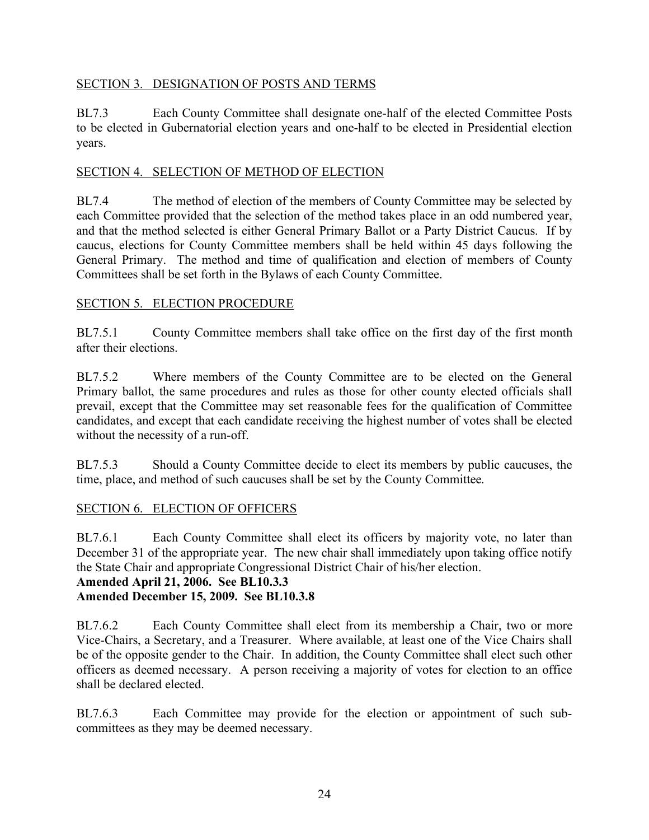## SECTION 3. DESIGNATION OF POSTS AND TERMS

BL7.3 Each County Committee shall designate one-half of the elected Committee Posts to be elected in Gubernatorial election years and one-half to be elected in Presidential election years.

## SECTION 4. SELECTION OF METHOD OF ELECTION

BL7.4 The method of election of the members of County Committee may be selected by each Committee provided that the selection of the method takes place in an odd numbered year, and that the method selected is either General Primary Ballot or a Party District Caucus. If by caucus, elections for County Committee members shall be held within 45 days following the General Primary. The method and time of qualification and election of members of County Committees shall be set forth in the Bylaws of each County Committee.

# SECTION 5. ELECTION PROCEDURE

BL7.5.1 County Committee members shall take office on the first day of the first month after their elections.

BL7.5.2 Where members of the County Committee are to be elected on the General Primary ballot, the same procedures and rules as those for other county elected officials shall prevail, except that the Committee may set reasonable fees for the qualification of Committee candidates, and except that each candidate receiving the highest number of votes shall be elected without the necessity of a run-off.

BL7.5.3 Should a County Committee decide to elect its members by public caucuses, the time, place, and method of such caucuses shall be set by the County Committee.

# SECTION 6. ELECTION OF OFFICERS

BL7.6.1 Each County Committee shall elect its officers by majority vote, no later than December 31 of the appropriate year. The new chair shall immediately upon taking office notify the State Chair and appropriate Congressional District Chair of his/her election.

# **Amended April 21, 2006. See BL10.3.3**

# **Amended December 15, 2009. See BL10.3.8**

BL7.6.2 Each County Committee shall elect from its membership a Chair, two or more Vice-Chairs, a Secretary, and a Treasurer. Where available, at least one of the Vice Chairs shall be of the opposite gender to the Chair. In addition, the County Committee shall elect such other officers as deemed necessary. A person receiving a majority of votes for election to an office shall be declared elected.

BL7.6.3 Each Committee may provide for the election or appointment of such subcommittees as they may be deemed necessary.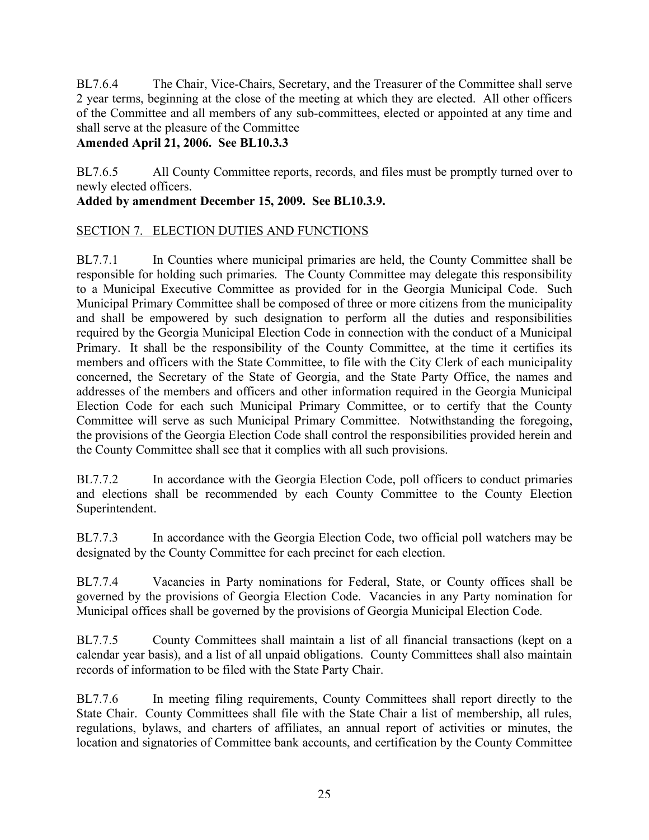BL7.6.4 The Chair, Vice-Chairs, Secretary, and the Treasurer of the Committee shall serve 2 year terms, beginning at the close of the meeting at which they are elected. All other officers of the Committee and all members of any sub-committees, elected or appointed at any time and shall serve at the pleasure of the Committee

# **Amended April 21, 2006. See BL10.3.3**

BL7.6.5 All County Committee reports, records, and files must be promptly turned over to newly elected officers.

# **Added by amendment December 15, 2009. See BL10.3.9.**

# SECTION 7. ELECTION DUTIES AND FUNCTIONS

BL7.7.1 In Counties where municipal primaries are held, the County Committee shall be responsible for holding such primaries. The County Committee may delegate this responsibility to a Municipal Executive Committee as provided for in the Georgia Municipal Code. Such Municipal Primary Committee shall be composed of three or more citizens from the municipality and shall be empowered by such designation to perform all the duties and responsibilities required by the Georgia Municipal Election Code in connection with the conduct of a Municipal Primary. It shall be the responsibility of the County Committee, at the time it certifies its members and officers with the State Committee, to file with the City Clerk of each municipality concerned, the Secretary of the State of Georgia, and the State Party Office, the names and addresses of the members and officers and other information required in the Georgia Municipal Election Code for each such Municipal Primary Committee, or to certify that the County Committee will serve as such Municipal Primary Committee. Notwithstanding the foregoing, the provisions of the Georgia Election Code shall control the responsibilities provided herein and the County Committee shall see that it complies with all such provisions.

BL7.7.2 In accordance with the Georgia Election Code, poll officers to conduct primaries and elections shall be recommended by each County Committee to the County Election Superintendent.

BL7.7.3 In accordance with the Georgia Election Code, two official poll watchers may be designated by the County Committee for each precinct for each election.

BL7.7.4 Vacancies in Party nominations for Federal, State, or County offices shall be governed by the provisions of Georgia Election Code. Vacancies in any Party nomination for Municipal offices shall be governed by the provisions of Georgia Municipal Election Code.

BL7.7.5 County Committees shall maintain a list of all financial transactions (kept on a calendar year basis), and a list of all unpaid obligations. County Committees shall also maintain records of information to be filed with the State Party Chair.

BL7.7.6 In meeting filing requirements, County Committees shall report directly to the State Chair. County Committees shall file with the State Chair a list of membership, all rules, regulations, bylaws, and charters of affiliates, an annual report of activities or minutes, the location and signatories of Committee bank accounts, and certification by the County Committee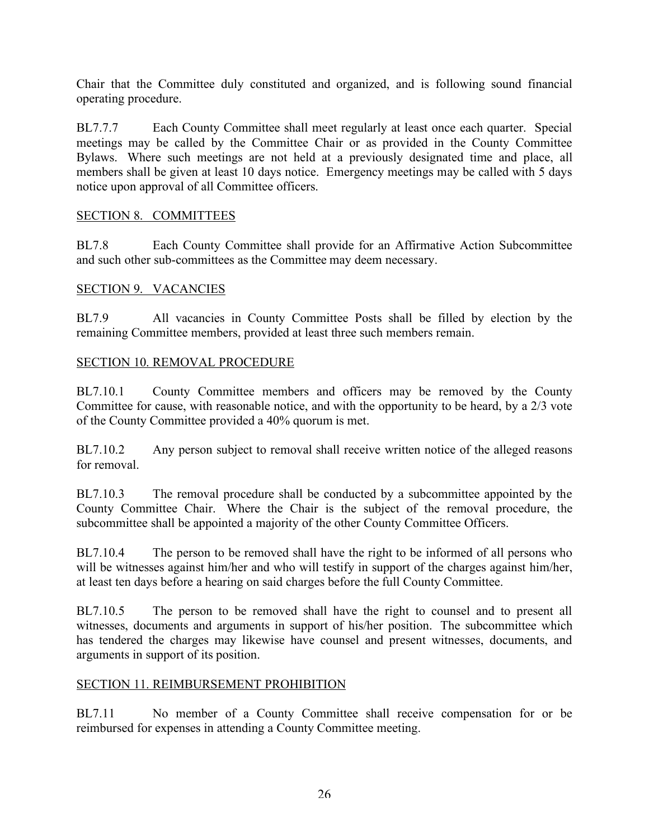Chair that the Committee duly constituted and organized, and is following sound financial operating procedure.

BL7.7.7 Each County Committee shall meet regularly at least once each quarter. Special meetings may be called by the Committee Chair or as provided in the County Committee Bylaws. Where such meetings are not held at a previously designated time and place, all members shall be given at least 10 days notice. Emergency meetings may be called with 5 days notice upon approval of all Committee officers.

# SECTION 8. COMMITTEES

BL7.8 Each County Committee shall provide for an Affirmative Action Subcommittee and such other sub-committees as the Committee may deem necessary.

#### SECTION 9. VACANCIES

BL7.9 All vacancies in County Committee Posts shall be filled by election by the remaining Committee members, provided at least three such members remain.

# SECTION 10. REMOVAL PROCEDURE

BL7.10.1 County Committee members and officers may be removed by the County Committee for cause, with reasonable notice, and with the opportunity to be heard, by a 2/3 vote of the County Committee provided a 40% quorum is met.

BL7.10.2 Any person subject to removal shall receive written notice of the alleged reasons for removal.

BL7.10.3 The removal procedure shall be conducted by a subcommittee appointed by the County Committee Chair. Where the Chair is the subject of the removal procedure, the subcommittee shall be appointed a majority of the other County Committee Officers.

BL7.10.4 The person to be removed shall have the right to be informed of all persons who will be witnesses against him/her and who will testify in support of the charges against him/her, at least ten days before a hearing on said charges before the full County Committee.

BL7.10.5 The person to be removed shall have the right to counsel and to present all witnesses, documents and arguments in support of his/her position. The subcommittee which has tendered the charges may likewise have counsel and present witnesses, documents, and arguments in support of its position.

#### SECTION 11. REIMBURSEMENT PROHIBITION

BL7.11 No member of a County Committee shall receive compensation for or be reimbursed for expenses in attending a County Committee meeting.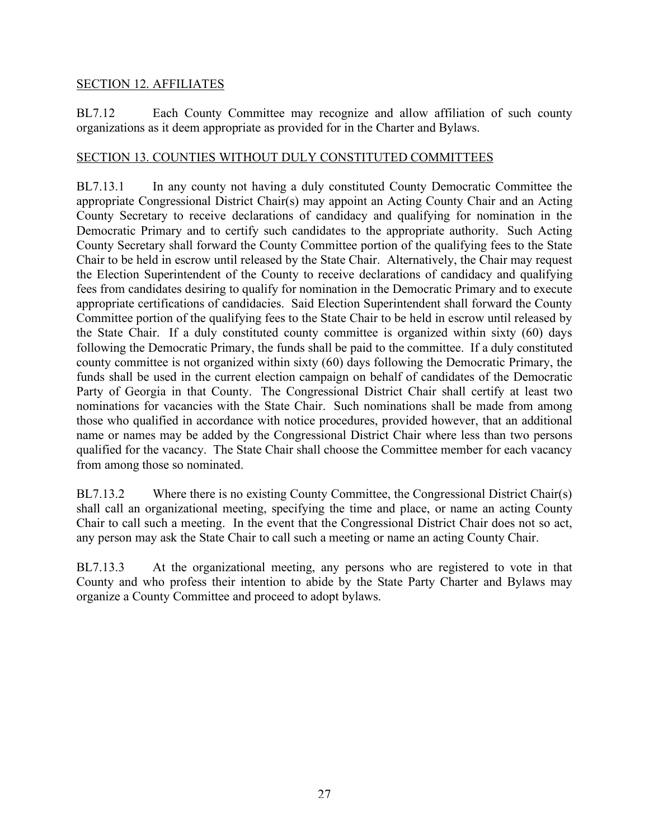#### SECTION 12. AFFILIATES

BL7.12 Each County Committee may recognize and allow affiliation of such county organizations as it deem appropriate as provided for in the Charter and Bylaws.

#### SECTION 13. COUNTIES WITHOUT DULY CONSTITUTED COMMITTEES

BL7.13.1 In any county not having a duly constituted County Democratic Committee the appropriate Congressional District Chair(s) may appoint an Acting County Chair and an Acting County Secretary to receive declarations of candidacy and qualifying for nomination in the Democratic Primary and to certify such candidates to the appropriate authority. Such Acting County Secretary shall forward the County Committee portion of the qualifying fees to the State Chair to be held in escrow until released by the State Chair. Alternatively, the Chair may request the Election Superintendent of the County to receive declarations of candidacy and qualifying fees from candidates desiring to qualify for nomination in the Democratic Primary and to execute appropriate certifications of candidacies. Said Election Superintendent shall forward the County Committee portion of the qualifying fees to the State Chair to be held in escrow until released by the State Chair. If a duly constituted county committee is organized within sixty (60) days following the Democratic Primary, the funds shall be paid to the committee. If a duly constituted county committee is not organized within sixty (60) days following the Democratic Primary, the funds shall be used in the current election campaign on behalf of candidates of the Democratic Party of Georgia in that County. The Congressional District Chair shall certify at least two nominations for vacancies with the State Chair. Such nominations shall be made from among those who qualified in accordance with notice procedures, provided however, that an additional name or names may be added by the Congressional District Chair where less than two persons qualified for the vacancy. The State Chair shall choose the Committee member for each vacancy from among those so nominated.

BL7.13.2 Where there is no existing County Committee, the Congressional District Chair(s) shall call an organizational meeting, specifying the time and place, or name an acting County Chair to call such a meeting. In the event that the Congressional District Chair does not so act, any person may ask the State Chair to call such a meeting or name an acting County Chair.

BL7.13.3 At the organizational meeting, any persons who are registered to vote in that County and who profess their intention to abide by the State Party Charter and Bylaws may organize a County Committee and proceed to adopt bylaws.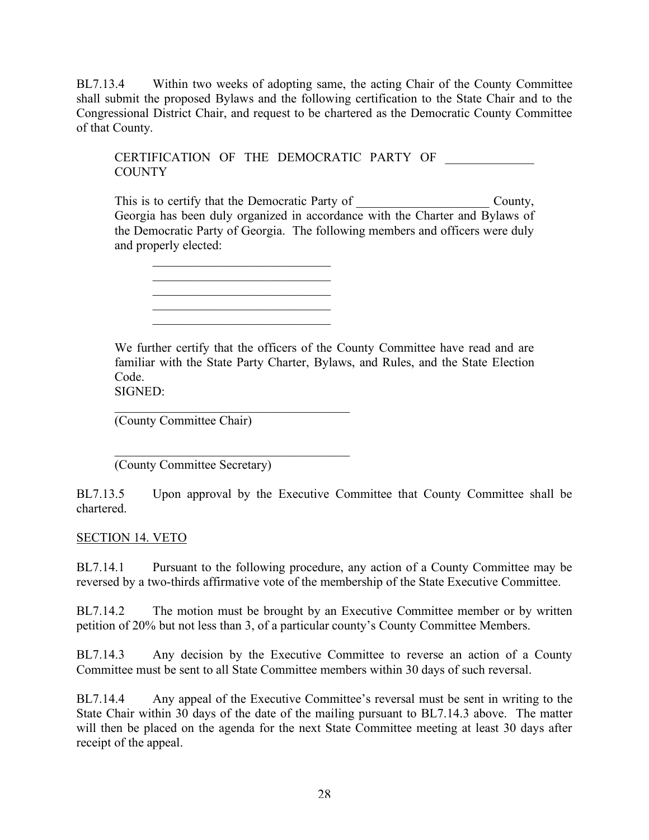BL7.13.4 Within two weeks of adopting same, the acting Chair of the County Committee shall submit the proposed Bylaws and the following certification to the State Chair and to the Congressional District Chair, and request to be chartered as the Democratic County Committee of that County.

CERTIFICATION OF THE DEMOCRATIC PARTY OF COUNTY

This is to certify that the Democratic Party of \_\_\_\_\_\_\_\_\_\_\_\_\_\_\_\_\_\_\_\_\_ County, Georgia has been duly organized in accordance with the Charter and Bylaws of the Democratic Party of Georgia. The following members and officers were duly and properly elected:

We further certify that the officers of the County Committee have read and are familiar with the State Party Charter, Bylaws, and Rules, and the State Election Code.

SIGNED:

(County Committee Chair)

 $\mathcal{L}_\text{max}$  , and the set of the set of the set of the set of the set of the set of the set of the set of the set of the set of the set of the set of the set of the set of the set of the set of the set of the set of the (County Committee Secretary)

 $\mathcal{L}_\text{max}$  $\mathcal{L}_\text{max}$  , where  $\mathcal{L}_\text{max}$  , we have the set of the set of the set of the set of the set of the set of the set of the set of the set of the set of the set of the set of the set of the set of the set of the set of  $\frac{1}{2}$  ,  $\frac{1}{2}$  ,  $\frac{1}{2}$  ,  $\frac{1}{2}$  ,  $\frac{1}{2}$  ,  $\frac{1}{2}$  ,  $\frac{1}{2}$  ,  $\frac{1}{2}$  ,  $\frac{1}{2}$  ,  $\frac{1}{2}$  ,  $\frac{1}{2}$  ,  $\frac{1}{2}$  ,  $\frac{1}{2}$  ,  $\frac{1}{2}$  ,  $\frac{1}{2}$  ,  $\frac{1}{2}$  ,  $\frac{1}{2}$  ,  $\frac{1}{2}$  ,  $\frac{1$ \_\_\_\_\_\_\_\_\_\_\_\_\_\_\_\_\_\_\_\_\_\_\_\_\_\_\_\_  $\mathcal{L}_\text{max}$  , where  $\mathcal{L}_\text{max}$  , we have the set of the set of the set of the set of the set of the set of the set of the set of the set of the set of the set of the set of the set of the set of the set of the set of

 $\mathcal{L}_\text{max}$ 

BL7.13.5 Upon approval by the Executive Committee that County Committee shall be chartered.

#### SECTION 14. VETO

BL7.14.1 Pursuant to the following procedure, any action of a County Committee may be reversed by a two-thirds affirmative vote of the membership of the State Executive Committee.

BL7.14.2 The motion must be brought by an Executive Committee member or by written petition of 20% but not less than 3, of a particular county's County Committee Members.

BL7.14.3 Any decision by the Executive Committee to reverse an action of a County Committee must be sent to all State Committee members within 30 days of such reversal.

BL7.14.4 Any appeal of the Executive Committee's reversal must be sent in writing to the State Chair within 30 days of the date of the mailing pursuant to BL7.14.3 above. The matter will then be placed on the agenda for the next State Committee meeting at least 30 days after receipt of the appeal.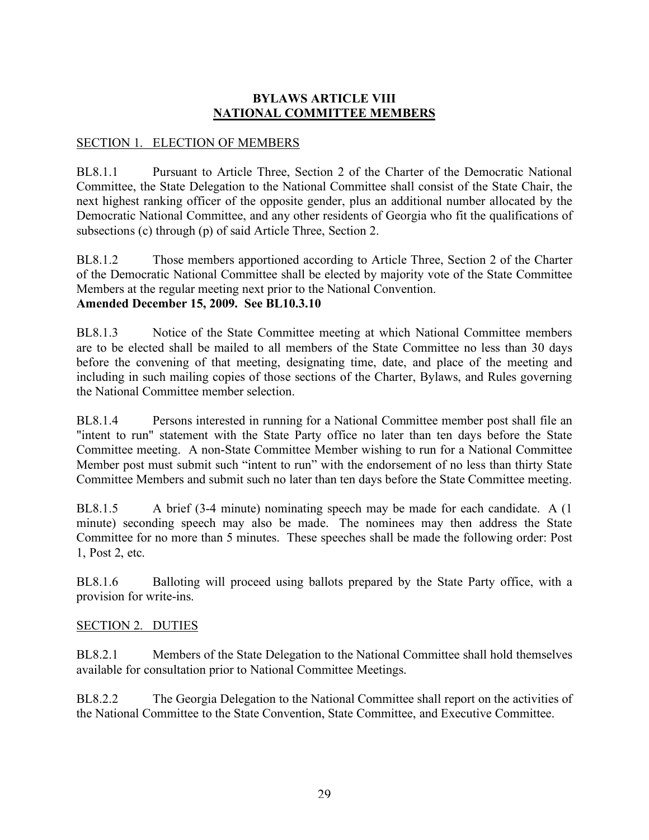# **BYLAWS ARTICLE VIII NATIONAL COMMITTEE MEMBERS**

## SECTION 1. ELECTION OF MEMBERS

BL8.1.1 Pursuant to Article Three, Section 2 of the Charter of the Democratic National Committee, the State Delegation to the National Committee shall consist of the State Chair, the next highest ranking officer of the opposite gender, plus an additional number allocated by the Democratic National Committee, and any other residents of Georgia who fit the qualifications of subsections (c) through (p) of said Article Three, Section 2.

BL8.1.2 Those members apportioned according to Article Three, Section 2 of the Charter of the Democratic National Committee shall be elected by majority vote of the State Committee Members at the regular meeting next prior to the National Convention. **Amended December 15, 2009. See BL10.3.10**

BL8.1.3 Notice of the State Committee meeting at which National Committee members are to be elected shall be mailed to all members of the State Committee no less than 30 days before the convening of that meeting, designating time, date, and place of the meeting and including in such mailing copies of those sections of the Charter, Bylaws, and Rules governing the National Committee member selection.

BL8.1.4 Persons interested in running for a National Committee member post shall file an "intent to run" statement with the State Party office no later than ten days before the State Committee meeting. A non-State Committee Member wishing to run for a National Committee Member post must submit such "intent to run" with the endorsement of no less than thirty State Committee Members and submit such no later than ten days before the State Committee meeting.

BL8.1.5 A brief (3-4 minute) nominating speech may be made for each candidate. A (1 minute) seconding speech may also be made. The nominees may then address the State Committee for no more than 5 minutes. These speeches shall be made the following order: Post 1, Post 2, etc.

BL8.1.6 Balloting will proceed using ballots prepared by the State Party office, with a provision for write-ins.

#### SECTION 2. DUTIES

BL8.2.1 Members of the State Delegation to the National Committee shall hold themselves available for consultation prior to National Committee Meetings.

BL8.2.2 The Georgia Delegation to the National Committee shall report on the activities of the National Committee to the State Convention, State Committee, and Executive Committee.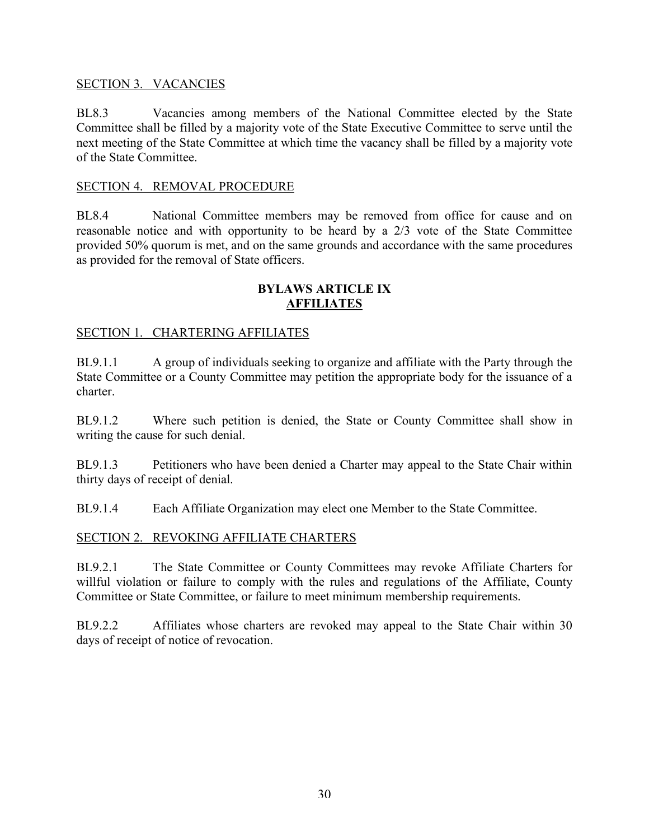#### SECTION 3. VACANCIES

BL8.3 Vacancies among members of the National Committee elected by the State Committee shall be filled by a majority vote of the State Executive Committee to serve until the next meeting of the State Committee at which time the vacancy shall be filled by a majority vote of the State Committee.

#### SECTION 4. REMOVAL PROCEDURE

BL8.4 National Committee members may be removed from office for cause and on reasonable notice and with opportunity to be heard by a 2/3 vote of the State Committee provided 50% quorum is met, and on the same grounds and accordance with the same procedures as provided for the removal of State officers.

#### **BYLAWS ARTICLE IX AFFILIATES**

#### SECTION 1. CHARTERING AFFILIATES

BL9.1.1 A group of individuals seeking to organize and affiliate with the Party through the State Committee or a County Committee may petition the appropriate body for the issuance of a charter.

BL9.1.2 Where such petition is denied, the State or County Committee shall show in writing the cause for such denial.

BL9.1.3 Petitioners who have been denied a Charter may appeal to the State Chair within thirty days of receipt of denial.

BL9.1.4 Each Affiliate Organization may elect one Member to the State Committee.

#### SECTION 2. REVOKING AFFILIATE CHARTERS

BL9.2.1 The State Committee or County Committees may revoke Affiliate Charters for willful violation or failure to comply with the rules and regulations of the Affiliate, County Committee or State Committee, or failure to meet minimum membership requirements.

BL9.2.2 Affiliates whose charters are revoked may appeal to the State Chair within 30 days of receipt of notice of revocation.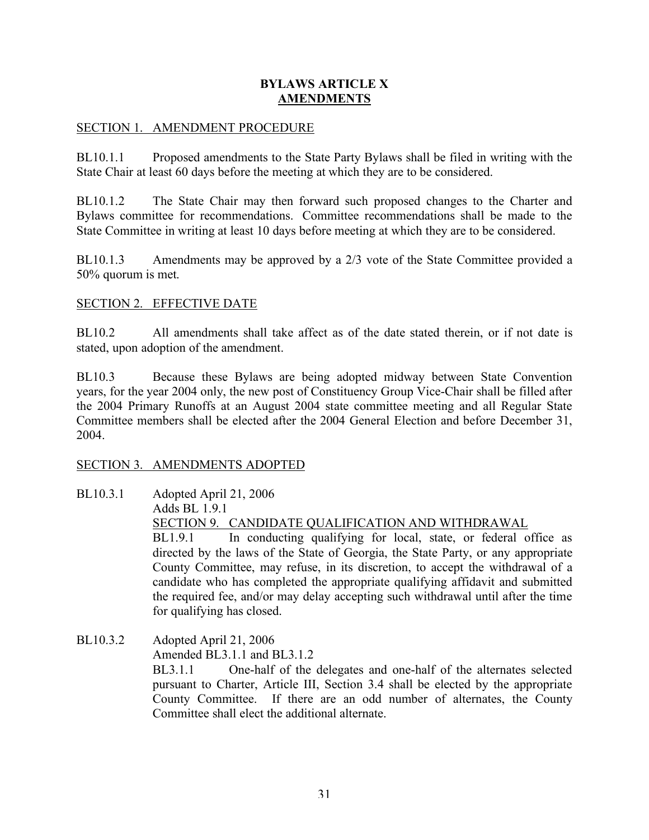#### **BYLAWS ARTICLE X AMENDMENTS**

#### SECTION 1. AMENDMENT PROCEDURE

BL10.1.1 Proposed amendments to the State Party Bylaws shall be filed in writing with the State Chair at least 60 days before the meeting at which they are to be considered.

BL10.1.2 The State Chair may then forward such proposed changes to the Charter and Bylaws committee for recommendations. Committee recommendations shall be made to the State Committee in writing at least 10 days before meeting at which they are to be considered.

BL10.1.3 Amendments may be approved by a 2/3 vote of the State Committee provided a 50% quorum is met.

#### SECTION 2. EFFECTIVE DATE

BL10.2 All amendments shall take affect as of the date stated therein, or if not date is stated, upon adoption of the amendment.

BL10.3 Because these Bylaws are being adopted midway between State Convention years, for the year 2004 only, the new post of Constituency Group Vice-Chair shall be filled after the 2004 Primary Runoffs at an August 2004 state committee meeting and all Regular State Committee members shall be elected after the 2004 General Election and before December 31, 2004.

#### SECTION 3. AMENDMENTS ADOPTED

- BL10.3.1 Adopted April 21, 2006 Adds BL 1.9.1 SECTION 9. CANDIDATE QUALIFICATION AND WITHDRAWAL BL1.9.1 In conducting qualifying for local, state, or federal office as directed by the laws of the State of Georgia, the State Party, or any appropriate County Committee, may refuse, in its discretion, to accept the withdrawal of a candidate who has completed the appropriate qualifying affidavit and submitted the required fee, and/or may delay accepting such withdrawal until after the time for qualifying has closed.
- BL10.3.2 Adopted April 21, 2006 Amended BL3.1.1 and BL3.1.2

BL3.1.1 One-half of the delegates and one-half of the alternates selected pursuant to Charter, Article III, Section 3.4 shall be elected by the appropriate County Committee. If there are an odd number of alternates, the County Committee shall elect the additional alternate.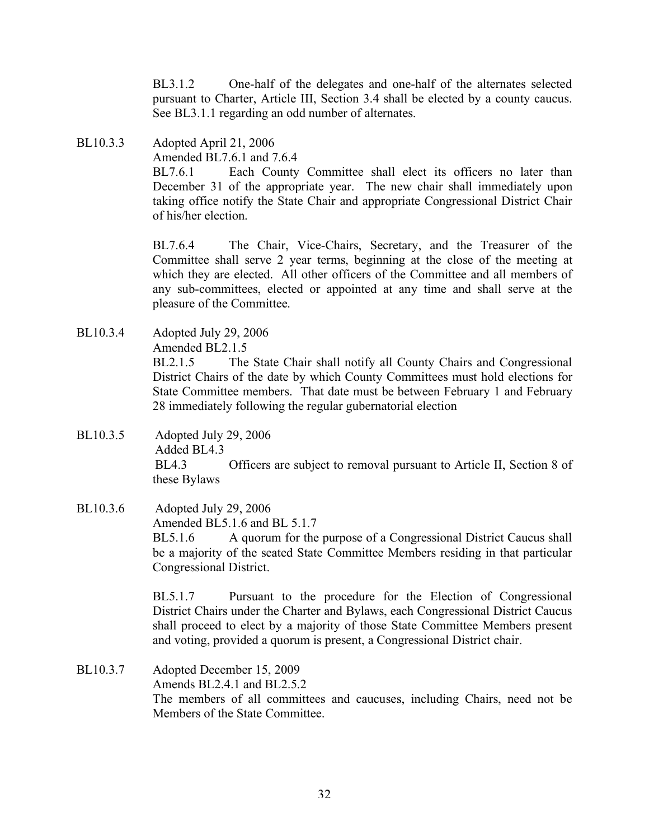BL3.1.2 One-half of the delegates and one-half of the alternates selected pursuant to Charter, Article III, Section 3.4 shall be elected by a county caucus. See BL3.1.1 regarding an odd number of alternates.

BL10.3.3 Adopted April 21, 2006 Amended BL7.6.1 and 7.6.4 BL7.6.1 Each County Committee shall elect its officers no later than December 31 of the appropriate year. The new chair shall immediately upon taking office notify the State Chair and appropriate Congressional District Chair of his/her election.

> BL7.6.4 The Chair, Vice-Chairs, Secretary, and the Treasurer of the Committee shall serve 2 year terms, beginning at the close of the meeting at which they are elected. All other officers of the Committee and all members of any sub-committees, elected or appointed at any time and shall serve at the pleasure of the Committee.

BL10.3.4 Adopted July 29, 2006 Amended BL2.1.5

> BL2.1.5 The State Chair shall notify all County Chairs and Congressional District Chairs of the date by which County Committees must hold elections for State Committee members. That date must be between February 1 and February 28 immediately following the regular gubernatorial election

BL10.3.5 Adopted July 29, 2006 Added BL4.3 BL4.3 Officers are subject to removal pursuant to Article II, Section 8 of these Bylaws

#### BL10.3.6 Adopted July 29, 2006 Amended BL5.1.6 and BL 5.1.7 BL5.1.6 A quorum for the purpose of a Congressional District Caucus shall be a majority of the seated State Committee Members residing in that particular Congressional District.

BL5.1.7 Pursuant to the procedure for the Election of Congressional District Chairs under the Charter and Bylaws, each Congressional District Caucus shall proceed to elect by a majority of those State Committee Members present and voting, provided a quorum is present, a Congressional District chair.

BL10.3.7 Adopted December 15, 2009 Amends BL2.4.1 and BL2.5.2 The members of all committees and caucuses, including Chairs, need not be Members of the State Committee.